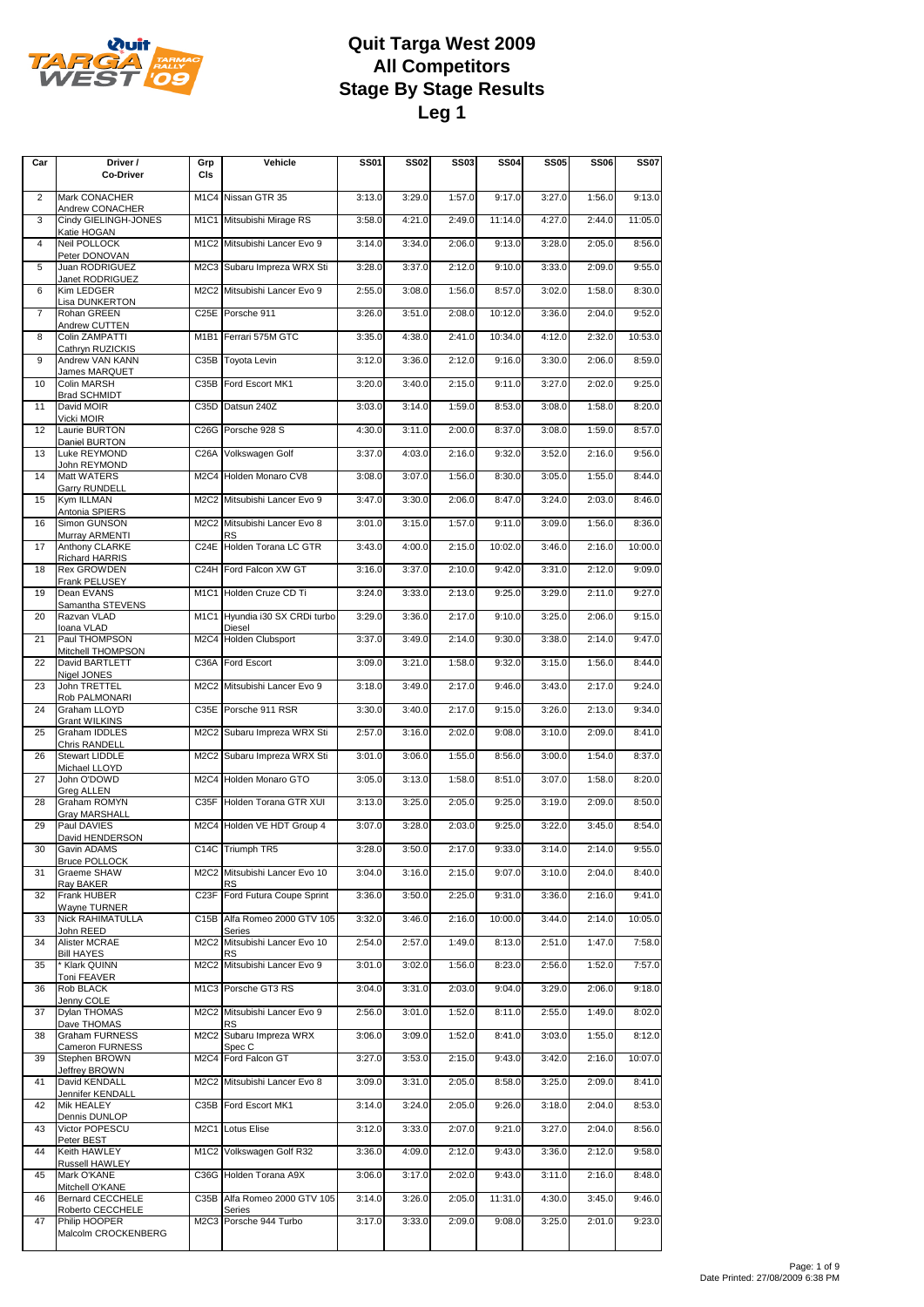

| Car            | Driver /<br>Co-Driver                   | Grp<br>CIs                    | Vehicle                                   | <b>SS01</b> | <b>SS02</b> | <b>SS03</b> | <b>SS04</b> | <b>SS05</b> | <b>SS06</b> | <b>SS07</b> |
|----------------|-----------------------------------------|-------------------------------|-------------------------------------------|-------------|-------------|-------------|-------------|-------------|-------------|-------------|
| $\overline{2}$ | Mark CONACHER                           |                               | M1C4 Nissan GTR 35                        | 3:13.0      | 3:29.0      | 1:57.0      | 9:17.0      | 3:27.0      | 1:56.0      | 9:13.0      |
| 3              | Andrew CONACHER<br>Cindy GIELINGH-JONES |                               | M1C1 Mitsubishi Mirage RS                 | 3:58.0      | 4:21.0      | 2:49.0      | 11:14.0     | 4:27.0      | 2:44.0      | 11:05.0     |
| $\overline{4}$ | Katie HOGAN<br>Neil POLLOCK             |                               | M1C2 Mitsubishi Lancer Evo 9              | 3:14.0      | 3:34.0      | 2:06.0      | 9:13.0      | 3:28.0      | 2:05.0      | 8:56.0      |
| 5              | Peter DONOVAN<br>Juan RODRIGUEZ         |                               | M2C3 Subaru Impreza WRX Sti               | 3:28.0      | 3:37.0      | 2:12.0      | 9:10.0      | 3:33.0      | 2:09.0      | 9:55.0      |
| 6              | Janet RODRIGUEZ<br>Kim LEDGER           |                               | M2C2 Mitsubishi Lancer Evo 9              | 2:55.0      | 3:08.0      | 1:56.0      | 8:57.0      | 3:02.0      | 1:58.0      | 8:30.0      |
| $\overline{7}$ | Lisa DUNKERTON<br>Rohan GREEN           |                               | C25E Porsche 911                          | 3:26.0      | 3:51.0      | 2:08.0      | 10:12.0     | 3:36.0      | 2:04.0      | 9:52.0      |
| 8              | Andrew CUTTEN<br>Colin ZAMPATTI         |                               | M1B1 Ferrari 575M GTC                     | 3:35.0      | 4:38.0      | 2:41.0      | 10:34.0     | 4:12.0      | 2:32.0      | 10:53.0     |
| 9              | Cathryn RUZICKIS<br>Andrew VAN KANN     |                               | C35B Toyota Levin                         | 3:12.0      | 3:36.0      | 2:12.0      | 9:16.0      | 3:30.0      | 2:06.0      | 8:59.0      |
| 10             | James MARQUET<br>Colin MARSH            |                               | C35B Ford Escort MK1                      | 3:20.0      | 3:40.0      | 2:15.0      | 9:11.0      | 3:27.0      | 2:02.0      | 9:25.0      |
| 11             | <b>Brad SCHMIDT</b><br>David MOIR       |                               | C35D Datsun 240Z                          | 3:03.0      | 3:14.0      | 1:59.0      | 8:53.0      | 3:08.0      | 1:58.0      | 8:20.0      |
| 12             | Vicki MOIR<br>Laurie BURTON             |                               | C26G Porsche 928 S                        | 4:30.0      | 3:11.0      | 2:00.0      | 8:37.0      | 3:08.0      | 1:59.0      | 8:57.0      |
| 13             | Daniel BURTON<br>Luke REYMOND           |                               | C26A Volkswagen Golf                      | 3:37.0      | 4:03.0      | 2:16.0      | 9:32.0      | 3:52.0      | 2:16.0      | 9:56.0      |
|                | John REYMOND                            |                               |                                           |             |             |             |             |             |             |             |
| 14             | Matt WATERS<br>Garry RUNDELL            |                               | M2C4 Holden Monaro CV8                    | 3:08.0      | 3:07.0      | 1:56.0      | 8:30.0      | 3:05.0      | 1:55.0      | 8:44.0      |
| 15             | Kym ILLMAN<br>Antonia SPIERS            |                               | M2C2 Mitsubishi Lancer Evo 9              | 3:47.0      | 3:30.0      | 2:06.0      | 8:47.0      | 3:24.0      | 2:03.0      | 8:46.0      |
| 16             | Simon GUNSON<br>Murray ARMENTI          |                               | M2C2 Mitsubishi Lancer Evo 8<br><b>RS</b> | 3:01.0      | 3:15.0      | 1:57.0      | 9:11.0      | 3:09.0      | 1:56.0      | 8:36.0      |
| 17             | Anthony CLARKE<br>Richard HARRIS        |                               | C24E Holden Torana LC GTR                 | 3:43.0      | 4:00.0      | 2:15.0      | 10:02.0     | 3:46.0      | 2:16.0      | 10:00.0     |
| 18             | <b>Rex GROWDEN</b><br>Frank PELUSEY     |                               | C24H Ford Falcon XW GT                    | 3:16.0      | 3:37.0      | 2:10.0      | 9:42.0      | 3:31.0      | 2:12.0      | 9:09.0      |
| 19             | Dean EVANS<br>Samantha STEVENS          |                               | M1C1 Holden Cruze CD Ti                   | 3:24.0      | 3:33.0      | 2:13.0      | 9:25.0      | 3:29.0      | 2:11.0      | 9:27.0      |
| 20             | Razvan VLAD<br>Ioana VLAD               | M <sub>1</sub> C <sub>1</sub> | Hyundia i30 SX CRDi turbo<br>Diesel       | 3:29.0      | 3:36.0      | 2:17.0      | 9:10.0      | 3:25.0      | 2:06.0      | 9:15.0      |
| 21             | Paul THOMPSON<br>Mitchell THOMPSON      |                               | M2C4 Holden Clubsport                     | 3:37.0      | 3:49.0      | 2:14.0      | 9:30.0      | 3:38.0      | 2:14.0      | 9:47.0      |
| 22             | David BARTLETT<br>Nigel JONES           | C36A                          | Ford Escort                               | 3:09.0      | 3:21.0      | 1:58.0      | 9:32.0      | 3:15.0      | 1:56.0      | 8:44.0      |
| 23             | John TRETTEL                            |                               | M2C2 Mitsubishi Lancer Evo 9              | 3:18.0      | 3:49.0      | 2:17.0      | 9:46.0      | 3:43.0      | 2:17.0      | 9:24.0      |
| 24             | Rob PALMONARI<br>Graham LLOYD           |                               | C35E Porsche 911 RSR                      | 3:30.0      | 3:40.0      | 2:17.0      | 9:15.0      | 3:26.0      | 2:13.0      | 9:34.0      |
| 25             | Grant WILKINS<br>Graham IDDLES          |                               | M2C2 Subaru Impreza WRX Sti               | 2:57.0      | 3:16.0      | 2:02.0      | 9:08.0      | 3:10.0      | 2:09.0      | 8:41.0      |
| 26             | Chris RANDELL<br>Stewart LIDDLE         |                               | M2C2 Subaru Impreza WRX Sti               | 3:01.0      | 3:06.0      | 1:55.0      | 8:56.0      | 3:00.0      | 1:54.0      | 8:37.0      |
| 27             | Michael LLOYD<br>John O'DOWD            |                               | M2C4 Holden Monaro GTO                    | 3:05.0      | 3:13.0      | 1:58.0      | 8:51.0      | 3:07.0      | 1:58.0      | 8:20.0      |
| 28             | <b>Greg ALLEN</b><br>Graham ROMYN       |                               | C35F Holden Torana GTR XUI                | 3:13.0      | 3:25.0      | 2:05.0      | 9:25.0      | 3:19.0      | 2:09.0      | 8:50.0      |
| 29             | Gray MARSHALL<br>Paul DAVIES            |                               | M2C4 Holden VE HDT Group 4                | 3:07.0      | 3:28.0      | 2:03.0      | 9:25.0      | 3:22.0      | 3:45.0      | 8:54.0      |
| 30             | David HENDERSON<br>Gavin ADAMS          |                               | C14C Triumph TR5                          | 3:28.0      | 3:50.0      | 2:17.0      | 9:33.0      | 3:14.0      | 2:14.0      | 9:55.0      |
| 31             | <b>Bruce POLLOCK</b><br>Graeme SHAW     |                               | M2C2 Mitsubishi Lancer Evo 10             | 3:04.0      | 3:16.0      | 2:15.0      | 9:07.0      | 3:10.0      | 2:04.0      | 8:40.0      |
| 32             | Ray BAKER<br>Frank HUBER                |                               | RS<br>C23F Ford Futura Coupe Sprint       | 3:36.0      | 3:50.0      | 2:25.0      | 9:31.0      | 3:36.0      | 2:16.0      | 9:41.0      |
| 33             | Wayne TURNER<br>Nick RAHIMATULLA        |                               | C15B Alfa Romeo 2000 GTV 105              | 3:32.0      | 3:46.0      | 2:16.0      | 10:00.0     | 3:44.0      | 2:14.0      | 10:05.0     |
| 34             | John REED<br>Alister MCRAE              |                               | Series<br>M2C2 Mitsubishi Lancer Evo 10   | 2:54.0      | 2:57.0      | 1:49.0      | 8:13.0      | 2:51.0      | 1:47.0      | 7:58.0      |
| 35             | <b>Bill HAYES</b><br>* Klark QUINN      |                               | RS<br>M2C2 Mitsubishi Lancer Evo 9        | 3:01.0      | 3:02.0      | 1:56.0      | 8:23.0      | 2:56.0      | 1:52.0      | 7:57.0      |
| 36             | Toni FEAVER<br>Rob BLACK                |                               | M1C3 Porsche GT3 RS                       | 3:04.0      | 3:31.0      | 2:03.0      | 9:04.0      | 3:29.0      | 2:06.0      | 9:18.0      |
| 37             | Jenny COLE<br>Dylan THOMAS              |                               | M2C2 Mitsubishi Lancer Evo 9              | 2:56.0      | 3:01.0      | 1:52.0      | 8:11.0      | 2:55.0      | 1:49.0      | 8:02.0      |
| 38             | Dave THOMAS<br>Graham FURNESS           |                               | RS<br>M2C2 Subaru Impreza WRX             | 3:06.0      | 3:09.0      | 1:52.0      | 8:41.0      | 3:03.0      | 1:55.0      | 8:12.0      |
| 39             | Cameron FURNESS<br>Stephen BROWN        |                               | Spec C<br>M2C4 Ford Falcon GT             | 3:27.0      | 3:53.0      | 2:15.0      | 9:43.0      | 3:42.0      | 2:16.0      | 10:07.0     |
|                | Jeffrey BROWN                           |                               |                                           |             |             |             |             |             |             |             |
| 41             | David KENDALL<br>Jennifer KENDALL       |                               | M2C2 Mitsubishi Lancer Evo 8              | 3:09.0      | 3:31.0      | 2:05.0      | 8:58.0      | 3:25.0      | 2:09.0      | 8:41.0      |
| 42             | Mik HEALEY<br>Dennis DUNLOP             |                               | C35B Ford Escort MK1                      | 3:14.0      | 3:24.0      | 2:05.0      | 9:26.0      | 3:18.0      | 2:04.0      | 8:53.0      |
| 43             | Victor POPESCU<br>Peter BEST            |                               | M2C1 Lotus Elise                          | 3:12.0      | 3:33.0      | 2:07.0      | 9:21.0      | 3:27.0      | 2:04.0      | 8:56.0      |
| 44             | Keith HAWLEY<br>Russell HAWLEY          |                               | M1C2 Volkswagen Golf R32                  | 3:36.0      | 4:09.0      | 2:12.0      | 9:43.0      | 3:36.0      | 2:12.0      | 9:58.0      |
| 45             | Mark O'KANE<br>Mitchell O'KANE          |                               | C36G Holden Torana A9X                    | 3:06.0      | 3:17.0      | 2:02.0      | 9:43.0      | 3:11.0      | 2:16.0      | 8:48.0      |
| 46             | Bernard CECCHELE<br>Roberto CECCHELE    |                               | C35B Alfa Romeo 2000 GTV 105<br>Series    | 3:14.0      | 3:26.0      | 2:05.0      | 11:31.0     | 4:30.0      | 3:45.0      | 9:46.0      |
| 47             | Philip HOOPER<br>Malcolm CROCKENBERG    |                               | M2C3 Porsche 944 Turbo                    | 3:17.0      | 3:33.0      | 2:09.0      | 9:08.0      | 3:25.0      | 2:01.0      | 9:23.0      |
|                |                                         |                               |                                           |             |             |             |             |             |             |             |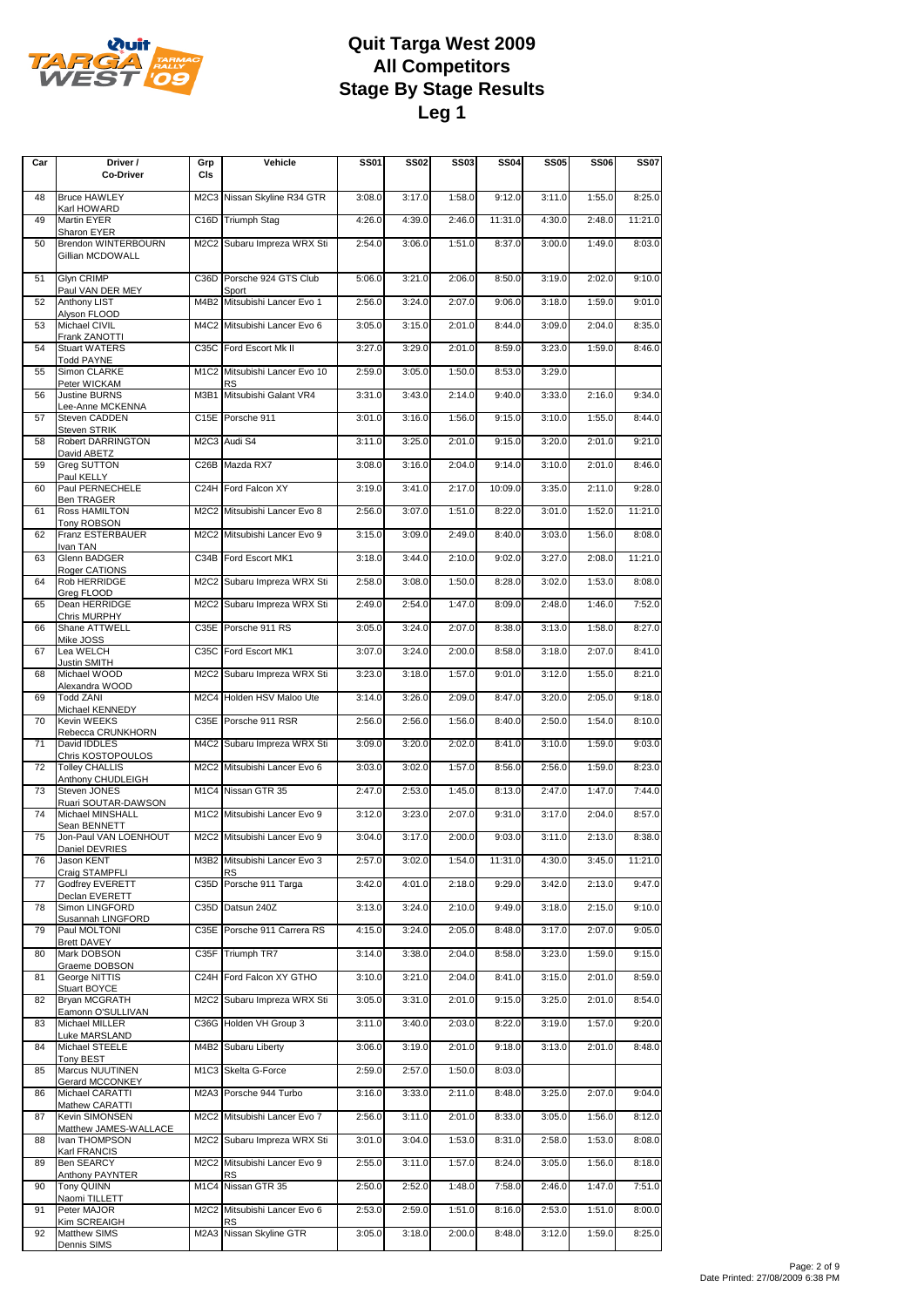

| Car | Driver /<br><b>Co-Driver</b>                                    | Grp<br>CIs                    | Vehicle                            | <b>SS01</b> | <b>SS02</b> | SS03   | <b>SS04</b> | <b>SS05</b> | <b>SS06</b> | <b>SS07</b> |
|-----|-----------------------------------------------------------------|-------------------------------|------------------------------------|-------------|-------------|--------|-------------|-------------|-------------|-------------|
| 48  | <b>Bruce HAWLEY</b>                                             |                               | M2C3 Nissan Skyline R34 GTR        | 3:08.0      | 3:17.0      | 1:58.0 | 9:12.0      | 3:11.0      | 1:55.0      | 8:25.0      |
| 49  | Karl HOWARD<br>Martin EYER                                      |                               | C16D Triumph Stag                  | 4:26.0      | 4:39.0      | 2:46.0 | 11:31.0     | 4:30.0      | 2:48.0      | 11:21.0     |
| 50  | Sharon EYER<br><b>Brendon WINTERBOURN</b><br>Gillian MCDOWALL   |                               | M2C2 Subaru Impreza WRX Sti        | 2:54.0      | 3:06.0      | 1:51.0 | 8:37.0      | 3:00.0      | 1:49.0      | 8:03.0      |
| 51  | Glyn CRIMP                                                      |                               | C36D Porsche 924 GTS Club          | 5:06.0      | 3:21.0      | 2:06.0 | 8:50.0      | 3:19.0      | 2:02.0      | 9:10.0      |
| 52  | Paul VAN DER MEY<br>Anthony LIST                                | M4B2                          | Sport<br>Mitsubishi Lancer Evo 1   | 2:56.0      | 3:24.0      | 2:07.0 | 9:06.0      | 3:18.0      | 1:59.0      | 9:01.0      |
| 53  | Alyson FLOOD<br>Michael CIVIL                                   | M4C2                          | Mitsubishi Lancer Evo 6            | 3:05.0      | 3:15.0      | 2:01.0 | 8:44.0      | 3:09.0      | 2:04.0      | 8:35.0      |
| 54  | Frank ZANOTTI<br><b>Stuart WATERS</b>                           |                               | C35C Ford Escort Mk II             | 3:27.0      | 3:29.0      | 2:01.0 | 8:59.0      | 3:23.0      | 1:59.0      | 8:46.0      |
| 55  | <b>Todd PAYNE</b><br>Simon CLARKE                               | M <sub>1</sub> C <sub>2</sub> | Mitsubishi Lancer Evo 10           | 2:59.0      | 3:05.0      | 1:50.0 | 8:53.0      | 3:29.0      |             |             |
| 56  | Peter WICKAM<br>Justine BURNS                                   | M3B1                          | RS<br>Mitsubishi Galant VR4        | 3:31.0      | 3:43.0      | 2:14.0 | 9:40.0      | 3:33.0      | 2:16.0      | 9:34.0      |
| 57  | Lee-Anne MCKENNA<br>Steven CADDEN                               | C15E                          | Porsche 911                        | 3:01.0      | 3:16.0      | 1:56.0 | 9:15.0      | 3:10.0      | 1:55.0      | 8:44.0      |
| 58  | Steven STRIK<br>Robert DARRINGTON                               |                               | M2C3 Audi S4                       | 3:11.0      | 3:25.0      | 2:01.0 | 9:15.0      | 3:20.0      | 2:01.0      | 9:21.0      |
| 59  | David ABETZ<br>Greg SUTTON                                      | C <sub>26</sub> B             | Mazda RX7                          | 3:08.0      | 3:16.0      | 2:04.0 | 9:14.0      | 3:10.0      | 2:01.0      | 8:46.0      |
| 60  | Paul KELLY<br>Paul PERNECHELE                                   |                               | C24H Ford Falcon XY                | 3:19.0      | 3:41.0      | 2:17.0 | 10:09.0     | 3:35.0      | 2:11.0      | 9:28.0      |
| 61  | Ben TRAGER<br>Ross HAMILTON                                     | M <sub>2</sub> C <sub>2</sub> | Mitsubishi Lancer Evo 8            | 2:56.0      | 3:07.0      | 1:51.0 | 8:22.0      | 3:01.0      | 1:52.0      | 11:21.0     |
| 62  | Tony ROBSON<br>Franz ESTERBAUER                                 |                               | M2C2 Mitsubishi Lancer Evo 9       | 3:15.0      | 3:09.0      | 2:49.0 | 8:40.0      | 3:03.0      | 1:56.0      | 8:08.0      |
| 63  | Ivan TAN<br>Glenn BADGER                                        |                               | C34B Ford Escort MK1               | 3:18.0      | 3:44.0      | 2:10.0 | 9:02.0      | 3:27.0      | 2:08.0      | 11:21.0     |
| 64  | Roger CATIONS<br>Rob HERRIDGE                                   |                               | M2C2 Subaru Impreza WRX Sti        | 2:58.0      | 3:08.0      | 1:50.0 | 8:28.0      | 3:02.0      | 1:53.0      | 8:08.0      |
| 65  | Greg FLOOD<br>Dean HERRIDGE                                     |                               | M2C2 Subaru Impreza WRX Sti        | 2:49.0      | 2:54.0      | 1:47.0 | 8:09.0      | 2:48.0      | 1:46.0      | 7:52.0      |
| 66  | Chris MURPHY<br>Shane ATTWELL                                   |                               | C35E Porsche 911 RS                | 3:05.0      | 3:24.0      | 2:07.0 | 8:38.0      | 3:13.0      | 1:58.0      | 8:27.0      |
| 67  | Mike JOSS<br>Lea WELCH                                          |                               | C35C Ford Escort MK1               | 3:07.0      | 3:24.0      | 2:00.0 | 8:58.0      | 3:18.0      | 2:07.0      | 8:41.0      |
| 68  | <b>Justin SMITH</b><br>Michael WOOD                             |                               | M2C2 Subaru Impreza WRX Sti        | 3:23.0      | 3:18.0      | 1:57.0 | 9:01.0      | 3:12.0      | 1:55.0      | 8:21.0      |
| 69  | Alexandra WOOD<br><b>Todd ZANI</b>                              |                               | M2C4 Holden HSV Maloo Ute          | 3:14.0      | 3:26.0      | 2:09.0 | 8:47.0      | 3:20.0      | 2:05.0      | 9:18.0      |
| 70  | Michael KENNEDY<br>Kevin WEEKS                                  |                               | C35E Porsche 911 RSR               | 2:56.0      | 2:56.0      | 1:56.0 | 8:40.0      | 2:50.0      | 1:54.0      | 8:10.0      |
| 71  | Rebecca CRUNKHORN<br>David IDDLES                               | M4C2                          | Subaru Impreza WRX Sti             | 3:09.0      | 3:20.0      | 2:02.0 | 8:41.0      | 3:10.0      | 1:59.0      | 9:03.0      |
| 72  | Chris KOSTOPOULOS<br><b>Tolley CHALLIS</b><br>Anthony CHUDLEIGH |                               | M2C2 Mitsubishi Lancer Evo 6       | 3:03.0      | 3:02.0      | 1:57.0 | 8:56.0      | 2:56.0      | 1:59.0      | 8:23.0      |
| 73  | Steven JONES<br>Ruari SOUTAR-DAWSON                             |                               | M1C4 Nissan GTR 35                 | 2:47.0      | 2:53.0      | 1:45.0 | 8:13.0      | 2:47.0      | 1:47.0      | 7:44.0      |
| 74  | Michael MINSHALL<br>Sean BENNETT                                |                               | M1C2 Mitsubishi Lancer Evo 9       | 3:12.0      | 3:23.0      | 2:07.0 | 9:31.0      | 3:17.0      | 2:04.0      | 8:57.0      |
| 75  | Jon-Paul VAN LOENHOUT<br>Daniel DEVRIES                         |                               | M2C2 Mitsubishi Lancer Evo 9       | 3:04.0      | 3:17.0      | 2:00.0 | 9:03.0      | 3:11.0      | 2:13.0      | 8:38.0      |
| 76  | Jason KENT<br>Craig STAMPFLI                                    |                               | M3B2 Mitsubishi Lancer Evo 3<br>RS | 2:57.0      | 3:02.0      | 1:54.0 | 11:31.0     | 4:30.0      | 3:45.0      | 11:21.0     |
| 77  | Godfrey EVERETT<br>Declan EVERETT                               |                               | C35D Porsche 911 Targa             | 3:42.0      | 4:01.0      | 2:18.0 | 9:29.0      | 3:42.0      | 2:13.0      | 9:47.0      |
| 78  | Simon LINGFORD<br>Susannah LINGFORD                             | C35D                          | Datsun 240Z                        | 3:13.0      | 3:24.0      | 2:10.0 | 9:49.0      | 3:18.0      | 2:15.0      | 9:10.0      |
| 79  | Paul MOLTONI<br><b>Brett DAVEY</b>                              | C35E                          | Porsche 911 Carrera RS             | 4:15.0      | 3:24.0      | 2:05.0 | 8:48.0      | 3:17.0      | 2:07.0      | 9:05.0      |
| 80  | Mark DOBSON<br>Graeme DOBSON                                    | C35F                          | Triumph TR7                        | 3:14.0      | 3:38.0      | 2:04.0 | 8:58.0      | 3:23.0      | 1:59.0      | 9:15.0      |
| 81  | George NITTIS<br>Stuart BOYCE                                   | C24H                          | Ford Falcon XY GTHO                | 3:10.0      | 3:21.0      | 2:04.0 | 8:41.0      | 3:15.0      | 2:01.0      | 8:59.0      |
| 82  | Bryan MCGRATH<br>Eamonn O'SULLIVAN                              |                               | M2C2 Subaru Impreza WRX Sti        | 3:05.0      | 3:31.0      | 2:01.0 | 9:15.0      | 3:25.0      | 2:01.0      | 8:54.0      |
| 83  | Michael MILLER<br>Luke MARSLAND                                 | C36G                          | Holden VH Group 3                  | 3:11.0      | 3:40.0      | 2:03.0 | 8:22.0      | 3:19.0      | 1:57.0      | 9:20.0      |
| 84  | Michael STEELE<br>Tony BEST                                     | M4B2                          | Subaru Liberty                     | 3:06.0      | 3:19.0      | 2:01.0 | 9:18.0      | 3:13.0      | 2:01.0      | 8:48.0      |
| 85  | Marcus NUUTINEN<br>Gerard MCCONKEY                              | M <sub>1</sub> C <sub>3</sub> | Skelta G-Force                     | 2:59.0      | 2:57.0      | 1:50.0 | 8:03.0      |             |             |             |
| 86  | Michael CARATTI<br>Mathew CARATTI                               |                               | M2A3 Porsche 944 Turbo             | 3:16.0      | 3:33.0      | 2:11.0 | 8:48.0      | 3:25.0      | 2:07.0      | 9:04.0      |
| 87  | Kevin SIMONSEN<br>Matthew JAMES-WALLACE                         | M <sub>2</sub> C <sub>2</sub> | Mitsubishi Lancer Evo 7            | 2:56.0      | 3:11.0      | 2:01.0 | 8:33.0      | 3:05.0      | 1:56.0      | 8:12.0      |
| 88  | Ivan THOMPSON<br>Karl FRANCIS                                   |                               | M2C2 Subaru Impreza WRX Sti        | 3:01.0      | 3:04.0      | 1:53.0 | 8:31.0      | 2:58.0      | 1:53.0      | 8:08.0      |
| 89  | <b>Ben SEARCY</b><br>Anthony PAYNTER                            | M <sub>2</sub> C <sub>2</sub> | Mitsubishi Lancer Evo 9<br>RS      | 2:55.0      | 3:11.0      | 1:57.0 | 8:24.0      | 3:05.0      | 1:56.0      | 8:18.0      |
| 90  | Tony QUINN<br>Naomi TILLETT                                     | M <sub>1</sub> C4             | Nissan GTR 35                      | 2:50.0      | 2:52.0      | 1:48.0 | 7:58.0      | 2:46.0      | 1:47.0      | 7:51.0      |
| 91  | Peter MAJOR<br>Kim SCREAIGH                                     | M <sub>2</sub> C <sub>2</sub> | Mitsubishi Lancer Evo 6<br>RS      | 2:53.0      | 2:59.0      | 1:51.0 | 8:16.0      | 2:53.0      | 1:51.0      | 8:00.0      |
| 92  | Matthew SIMS<br>Dennis SIMS                                     | M2A3                          | Nissan Skyline GTR                 | 3:05.0      | 3:18.0      | 2:00.0 | 8:48.0      | 3:12.0      | 1:59.0      | 8:25.0      |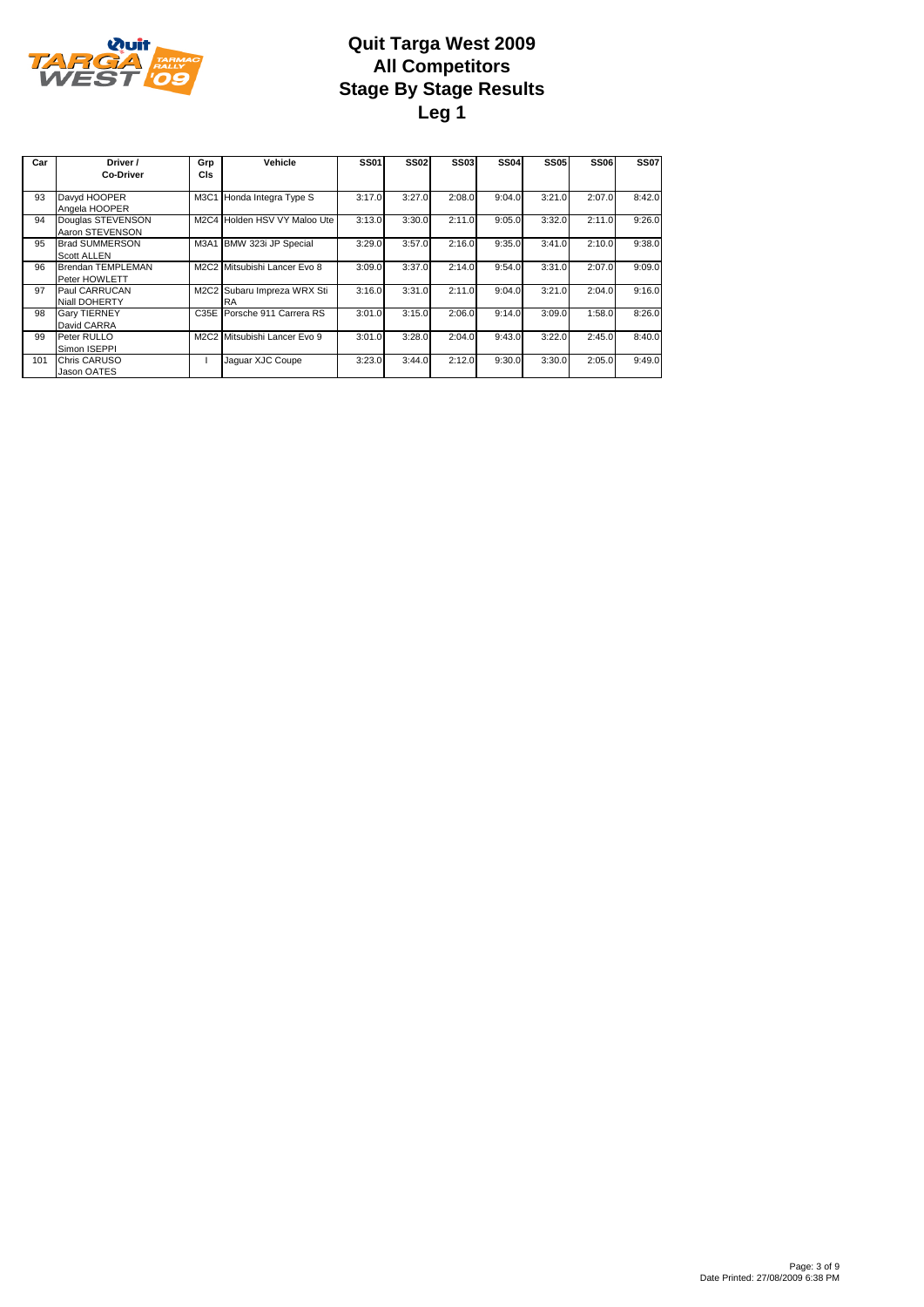

| Car | Driver /<br><b>Co-Driver</b>                | Grp<br>CIs | Vehicle                                  | <b>SS01</b> | <b>SS02</b> | <b>SS03</b> | <b>SS04</b> | <b>SS05</b> | <b>SS06</b> | <b>SS07</b> |
|-----|---------------------------------------------|------------|------------------------------------------|-------------|-------------|-------------|-------------|-------------|-------------|-------------|
| 93  | Davyd HOOPER<br>Angela HOOPER               |            | M3C1 Honda Integra Type S                | 3:17.0      | 3:27.0      | 2:08.0      | 9:04.0      | 3:21.0      | 2:07.0      | 8:42.0      |
| 94  | Douglas STEVENSON<br>Aaron STEVENSON        |            | M2C4 Holden HSV VY Maloo Ute             | 3:13.0      | 3:30.0      | 2:11.0      | 9:05.0      | 3:32.0      | 2:11.0      | 9:26.0      |
| 95  | <b>Brad SUMMERSON</b><br><b>Scott ALLEN</b> |            | M3A1 BMW 323i JP Special                 | 3:29.0      | 3:57.0      | 2:16.0      | 9:35.0      | 3:41.0      | 2:10.0      | 9:38.0      |
| 96  | Brendan TEMPLEMAN<br>Peter HOWLETT          |            | M2C2 Mitsubishi Lancer Evo 8             | 3:09.0      | 3:37.0      | 2:14.0      | 9:54.0      | 3:31.0      | 2:07.0      | 9:09.0      |
| 97  | Paul CARRUCAN<br><b>Niall DOHERTY</b>       |            | M2C2 Subaru Impreza WRX Sti<br><b>RA</b> | 3:16.0      | 3:31.0      | 2:11.0      | 9:04.0      | 3:21.0      | 2:04.0      | 9:16.0      |
| 98  | <b>Gary TIERNEY</b><br>David CARRA          |            | C35E Porsche 911 Carrera RS              | 3:01.0      | 3:15.0      | 2:06.0      | 9:14.0      | 3:09.0      | 1:58.0      | 8:26.0      |
| 99  | Peter RULLO<br>Simon ISEPPI                 |            | M2C2 Mitsubishi Lancer Evo 9             | 3:01.0      | 3:28.0      | 2:04.0      | 9:43.0      | 3:22.0      | 2:45.0      | 8:40.0      |
| 101 | Chris CARUSO<br>Jason OATES                 |            | Jaquar XJC Coupe                         | 3:23.0      | 3:44.0      | 2:12.0      | 9:30.0      | 3:30.0      | 2:05.0      | 9:49.0      |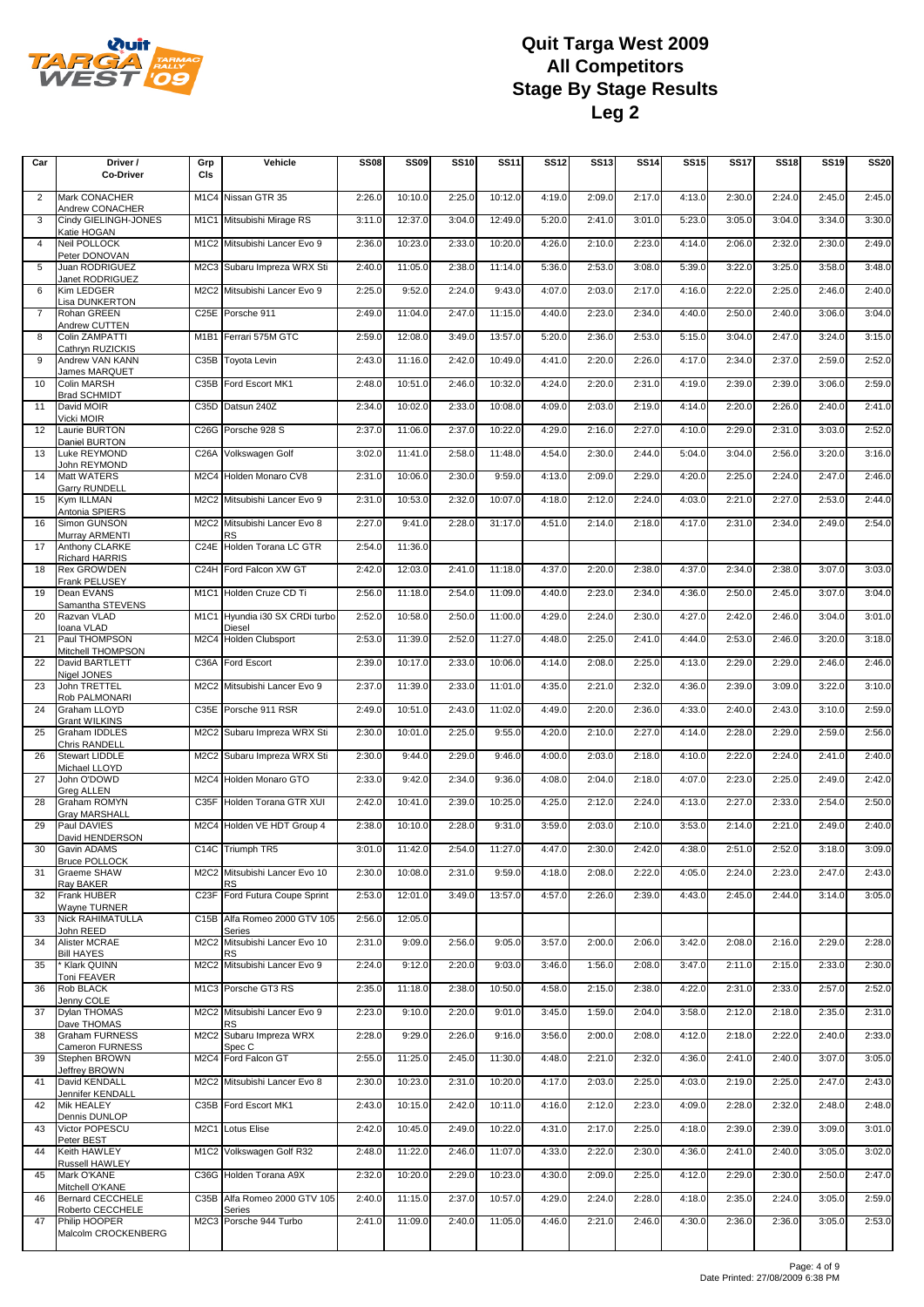

| Car            | Driver /<br><b>Co-Driver</b>               | Grp<br>CIs                    | Vehicle                                 | <b>SS08</b> | <b>SS09</b> | <b>SS10</b> | <b>SS11</b> | <b>SS12</b> | <b>SS13</b> | <b>SS14</b> | <b>SS15</b> | <b>SS17</b> | <b>SS18</b> | <b>SS19</b> | <b>SS20</b> |
|----------------|--------------------------------------------|-------------------------------|-----------------------------------------|-------------|-------------|-------------|-------------|-------------|-------------|-------------|-------------|-------------|-------------|-------------|-------------|
| 2              | Mark CONACHER                              | M <sub>1</sub> C4             | Nissan GTR 35                           | 2:26.0      | 10:10.0     | 2:25.0      | 10:12.0     | 4:19.0      | 2:09.0      | 2:17.0      | 4:13.0      | 2:30.0      | 2:24.0      | 2:45.0      | 2:45.0      |
|                | Andrew CONACHER                            |                               |                                         |             |             |             | 12:49.0     |             |             |             | 5:23.0      | 3:05.0      | 3:04.0      |             |             |
| 3              | Cindy GIELINGH-JONES<br>Katie HOGAN        |                               | M1C1 Mitsubishi Mirage RS               | 3:11.0      | 12:37.0     | 3:04.0      |             | 5:20.0      | 2:41.0      | 3:01.0      |             |             |             | 3:34.0      | 3:30.0      |
| $\overline{4}$ | Neil POLLOCK<br>Peter DONOVAN              |                               | M1C2 Mitsubishi Lancer Evo 9            | 2:36.0      | 10:23.0     | 2:33.0      | 10:20.0     | 4:26.0      | 2:10.0      | 2:23.0      | 4:14.0      | 2:06.0      | 2:32.0      | 2:30.0      | 2:49.0      |
| 5              | Juan RODRIGUEZ<br>Janet RODRIGUEZ          | M2C3                          | Subaru Impreza WRX Sti                  | 2:40.0      | 11:05.0     | 2:38.0      | 11:14.0     | 5:36.0      | 2:53.0      | 3:08.0      | 5:39.0      | 3:22.0      | 3:25.0      | 3:58.0      | 3:48.0      |
| 6              | Kim LEDGER<br>Lisa DUNKERTON               | M2C2                          | Mitsubishi Lancer Evo 9                 | 2:25.0      | 9:52.0      | 2:24.0      | 9:43.0      | 4:07.0      | 2:03.0      | 2:17.0      | 4:16.0      | 2:22.0      | 2:25.0      | 2:46.0      | 2:40.0      |
| 7              | Rohan GREEN<br>Andrew CUTTEN               | C <sub>25</sub> E             | Porsche 911                             | 2:49.0      | 11:04.0     | 2:47.0      | 11:15.0     | 4:40.0      | 2:23.0      | 2:34.0      | 4:40.0      | 2:50.0      | 2:40.0      | 3:06.0      | 3:04.0      |
| 8              | Colin ZAMPATTI<br>Cathryn RUZICKIS         | M <sub>1</sub> B <sub>1</sub> | Ferrari 575M GTC                        | 2:59.0      | 12:08.0     | 3:49.0      | 13:57.0     | 5:20.0      | 2:36.0      | 2:53.0      | 5:15.0      | 3:04.0      | 2:47.0      | 3:24.0      | 3:15.0      |
| 9              | Andrew VAN KANN<br>James MARQUET           | C35B                          | <b>Toyota Levin</b>                     | 2:43.0      | 11:16.0     | 2:42.0      | 10:49.0     | 4:41.0      | 2:20.0      | 2:26.0      | 4:17.0      | 2:34.0      | 2:37.0      | 2:59.0      | 2:52.0      |
| 10             | Colin MARSH<br><b>Brad SCHMIDT</b>         | C35B                          | Ford Escort MK1                         | 2:48.0      | 10:51.0     | 2:46.0      | 10:32.0     | 4:24.0      | 2:20.0      | 2:31.0      | 4:19.0      | 2:39.0      | 2:39.0      | 3:06.0      | 2:59.0      |
| 11             | David MOIR<br>Vicki MOIR                   |                               | C35D Datsun 240Z                        | 2:34.0      | 10:02.0     | 2:33.0      | 10:08.0     | 4:09.0      | 2:03.0      | 2:19.0      | 4:14.0      | 2:20.0      | 2:26.0      | 2:40.0      | 2:41.0      |
| 12             | Laurie BURTON<br>Daniel BURTON             | C26G                          | Porsche 928 S                           | 2:37.0      | 11:06.0     | 2:37.0      | 10:22.0     | 4:29.0      | 2:16.0      | 2:27.0      | 4:10.0      | 2:29.0      | 2:31.0      | 3:03.0      | 2:52.0      |
| 13             | Luke REYMOND<br>John REYMOND               | C <sub>26</sub> A             | Volkswagen Golf                         | 3:02.0      | 11:41.0     | 2:58.0      | 11:48.0     | 4:54.0      | 2:30.0      | 2:44.0      | 5:04.0      | 3:04.0      | 2:56.0      | 3:20.0      | 3:16.0      |
| 14             | Matt WATERS<br><b>Garry RUNDELL</b>        | M <sub>2</sub> C <sub>4</sub> | Holden Monaro CV8                       | 2:31.0      | 10:06.0     | 2:30.0      | 9:59.0      | 4:13.0      | 2:09.0      | 2:29.0      | 4:20.0      | 2:25.0      | 2:24.0      | 2:47.0      | 2:46.0      |
| 15             | Kym ILLMAN<br>Antonia SPIERS               |                               | M2C2 Mitsubishi Lancer Evo 9            | 2:31.0      | 10:53.0     | 2:32.0      | 10:07.0     | 4:18.0      | 2:12.0      | 2:24.0      | 4:03.0      | 2:21.0      | 2:27.0      | 2:53.0      | 2:44.0      |
| 16             | Simon GUNSON<br>Murray ARMENTI             | M <sub>2</sub> C <sub>2</sub> | Mitsubishi Lancer Evo 8<br>RS           | 2:27.0      | 9:41.0      | 2:28.0      | 31:17.0     | 4:51.0      | 2:14.0      | 2:18.0      | 4:17.0      | 2:31.0      | 2:34.0      | 2:49.0      | 2:54.0      |
| 17             | Anthony CLARKE                             | C <sub>24</sub> E             | Holden Torana LC GTR                    | 2:54.0      | 11:36.0     |             |             |             |             |             |             |             |             |             |             |
| 18             | Richard HARRIS<br><b>Rex GROWDEN</b>       | C24H                          | Ford Falcon XW GT                       | 2:42.0      | 12:03.0     | 2:41.0      | 11:18.0     | 4:37.0      | 2:20.0      | 2:38.0      | 4:37.0      | 2:34.0      | 2:38.0      | 3:07.0      | 3:03.0      |
| 19             | <b>Frank PELUSEY</b><br>Dean EVANS         |                               | M1C1 Holden Cruze CD Ti                 | 2:56.0      | 11:18.0     | 2:54.0      | 11:09.0     | 4:40.0      | 2:23.0      | 2:34.0      | 4:36.0      | 2:50.0      | 2:45.0      | 3:07.0      | 3:04.0      |
| 20             | Samantha STEVENS<br>Razvan VLAD            | M <sub>1</sub> C <sub>1</sub> | Hyundia i30 SX CRDi turbo               | 2:52.0      | 10:58.0     | 2:50.0      | 11:00.0     | 4:29.0      | 2:24.0      | 2:30.0      | 4:27.0      | 2:42.0      | 2:46.0      | 3:04.0      | 3:01.0      |
| 21             | Ioana VLAD<br>Paul THOMPSON                | M <sub>2</sub> C <sub>4</sub> | Diesel<br><b>Holden Clubsport</b>       | 2:53.0      | 11:39.0     | 2:52.0      | 11:27.0     | 4:48.0      | 2:25.0      | 2:41.0      | 4:44.0      | 2:53.0      | 2:46.0      | 3:20.0      | 3:18.0      |
| 22             | Mitchell THOMPSON<br>David BARTLETT        | C36A                          | Ford Escort                             | 2:39.0      | 10:17.0     | 2:33.0      | 10:06.0     | 4:14.0      | 2:08.0      | 2:25.0      | 4:13.0      | 2:29.0      | 2:29.0      | 2:46.0      | 2:46.0      |
| 23             | Nigel JONES<br>John TRETTEL                | M2C2                          | Mitsubishi Lancer Evo 9                 | 2:37.0      | 11:39.0     | 2:33.0      | 11:01.0     | 4:35.0      | 2:21.0      | 2:32.0      | 4:36.0      | 2:39.0      | 3:09.0      | 3:22.0      | 3:10.0      |
| 24             | Rob PALMONARI<br>Graham LLOYD              | C35E                          | Porsche 911 RSR                         | 2:49.0      | 10:51.0     | 2:43.0      | 11:02.0     | 4:49.0      | 2:20.0      | 2:36.0      | 4:33.0      | 2:40.0      | 2:43.0      | 3:10.0      | 2:59.0      |
| 25             | <b>Grant WILKINS</b><br>Graham IDDLES      | M2C2                          | Subaru Impreza WRX Sti                  | 2:30.0      | 10:01.0     | 2:25.0      | 9:55.0      | 4:20.0      | 2:10.0      | 2:27.0      | 4:14.0      | 2:28.0      | 2:29.0      | 2:59.0      | 2:56.0      |
| 26             | Chris RANDELL<br>Stewart LIDDLE            | M2C2                          | Subaru Impreza WRX Sti                  | 2:30.0      | 9:44.0      | 2:29.0      | 9:46.0      | 4:00.0      | 2:03.0      | 2:18.0      | 4:10.0      | 2:22.0      | 2:24.0      | 2:41.0      | 2:40.0      |
| 27             | Michael LLOYD<br>John O'DOWD               |                               | M2C4 Holden Monaro GTO                  | 2:33.0      | 9:42.0      | 2:34.0      | 9:36.0      | 4:08.0      | 2:04.0      | 2:18.0      | 4:07.0      | 2:23.0      | 2:25.0      | 2:49.0      | 2:42.0      |
| 28             | <b>Greg ALLEN</b><br>Graham ROMYN          | C35F                          | Holden Torana GTR XUI                   | 2:42.0      | 10:41.0     | 2:39.0      | 10:25.0     | 4:25.0      | 2:12.0      | 2:24.0      | 4:13.0      | 2:27.0      | 2:33.0      | 2:54.0      | 2:50.0      |
| 29             | Gray MARSHALL<br>Paul DAVIES               |                               | M2C4 Holden VE HDT Group 4              | 2:38.0      | 10:10.0     | 2:28.0      | 9:31.0      | 3:59.0      | 2:03.0      | 2:10.0      | 3:53.0      | 2:14.0      | 2:21.0      | 2:49.0      | 2:40.0      |
| 30             | David HENDERSON<br>Gavin ADAMS             |                               | C14C Triumph TR5                        | 3:01.0      | 11:42.0     | 2:54.0      | 11:27.0     | 4:47.0      | 2:30.0      | 2:42.0      | 4:38.0      | 2:51.0      | 2:52.0      | 3:18.0      | 3:09.0      |
| 31             | <b>Bruce POLLOCK</b><br>Graeme SHAW        |                               | M2C2 Mitsubishi Lancer Evo 10           | 2:30.0      | 10:08.0     | 2:31.0      | 9:59.0      | 4:18.0      | 2:08.0      | 2:22.0      | 4:05.0      | 2:24.0      | 2:23.0      | 2:47.0      | 2:43.0      |
| 32             | Ray BAKER<br>Frank HUBER                   |                               | RS<br>C23F Ford Futura Coupe Sprint     | 2:53.0      | 12:01.0     | 3:49.0      | 13:57.0     | 4:57.0      | 2:26.0      | 2:39.0      | 4:43.0      | 2:45.0      | 2:44.0      | 3:14.0      | 3:05.0      |
| 33             | Wayne TURNER<br>Nick RAHIMATULLA           |                               | C15B Alfa Romeo 2000 GTV 105            | 2:56.0      | 12:05.0     |             |             |             |             |             |             |             |             |             |             |
| 34             | John REED<br>Alister MCRAE                 |                               | Series<br>M2C2 Mitsubishi Lancer Evo 10 | 2:31.0      | 9:09.0      | 2:56.0      | 9:05.0      | 3:57.0      | 2:00.0      | 2:06.0      | 3:42.0      | 2:08.0      | 2:16.0      | 2:29.0      | 2:28.0      |
| 35             | <b>Bill HAYES</b><br>* Klark QUINN         |                               | RS<br>M2C2 Mitsubishi Lancer Evo 9      | 2:24.0      | 9:12.0      | 2:20.0      | 9:03.0      | 3:46.0      | 1:56.0      | 2:08.0      | 3:47.0      | 2:11.0      | 2:15.0      | 2:33.0      | 2:30.0      |
| 36             | Toni FEAVER<br>Rob BLACK                   |                               | M1C3 Porsche GT3 RS                     | 2:35.0      | 11:18.0     | 2:38.0      | 10:50.0     | 4:58.0      | 2:15.0      | 2:38.0      | 4:22.0      | 2:31.0      | 2:33.0      | 2:57.0      | 2:52.0      |
| 37             | Jenny COLE<br><b>Dylan THOMAS</b>          |                               | M2C2 Mitsubishi Lancer Evo 9            | 2:23.0      | 9:10.0      | 2:20.0      | 9:01.0      | 3:45.0      | 1:59.0      | 2:04.0      | 3:58.0      | 2:12.0      | 2:18.0      | 2:35.0      | 2:31.0      |
| 38             | Dave THOMAS<br>Graham FURNESS              |                               | <b>RS</b><br>M2C2 Subaru Impreza WRX    | 2:28.0      | 9:29.0      | 2:26.0      | 9:16.0      | 3:56.0      | 2:00.0      | 2:08.0      | 4:12.0      | 2:18.0      | 2:22.0      | 2:40.0      | 2:33.0      |
| 39             | Cameron FURNESS<br>Stephen BROWN           |                               | Spec C<br>M2C4 Ford Falcon GT           | 2:55.0      | 11:25.0     | 2:45.0      | 11:30.0     | 4:48.0      | 2:21.0      | 2:32.0      | 4:36.0      | 2:41.0      | 2:40.0      | 3:07.0      | 3:05.0      |
| 41             | Jeffrey BROWN<br>David KENDALL             |                               | M2C2 Mitsubishi Lancer Evo 8            | 2:30.0      | 10:23.0     | 2:31.0      | 10:20.0     | 4:17.0      | 2:03.0      | 2:25.0      | 4:03.0      | 2:19.0      | 2:25.0      | 2:47.0      | 2:43.0      |
| 42             | Jennifer KENDALL<br>Mik HEALEY             |                               | C35B Ford Escort MK1                    | 2:43.0      | 10:15.0     | 2:42.0      | 10:11.0     | 4:16.0      | 2:12.0      | 2:23.0      | 4:09.0      | 2:28.0      | 2:32.0      | 2:48.0      | 2:48.0      |
| 43             | Dennis DUNLOP<br>Victor POPESCU            |                               | M2C1 Lotus Elise                        | 2:42.0      | 10:45.0     | 2:49.0      | 10:22.0     | 4:31.0      | 2:17.0      | 2:25.0      | 4:18.0      | 2:39.0      | 2:39.0      | 3:09.0      | 3:01.0      |
| 44             | Peter BEST<br>Keith HAWLEY                 |                               | M1C2 Volkswagen Golf R32                | 2:48.0      | 11:22.0     | 2:46.0      | 11:07.0     | 4:33.0      | 2:22.0      | 2:30.0      | 4:36.0      | 2:41.0      | 2:40.0      | 3:05.0      | 3:02.0      |
| 45             | Russell HAWLEY<br>Mark O'KANE              |                               | C36G Holden Torana A9X                  | 2:32.0      | 10:20.0     | 2:29.0      | 10:23.0     | 4:30.0      | 2:09.0      | 2:25.0      | 4:12.0      | 2:29.0      | 2:30.0      | 2:50.0      | 2:47.0      |
| 46             | Mitchell O'KANE<br><b>Bernard CECCHELE</b> |                               | C35B Alfa Romeo 2000 GTV 105            | 2:40.0      | 11:15.0     | 2:37.0      | 10:57.0     | 4:29.0      | 2:24.0      | 2:28.0      | 4:18.0      | 2:35.0      | 2:24.0      | 3:05.0      | 2:59.0      |
| 47             | Roberto CECCHELE<br>Philip HOOPER          |                               | Series<br>M2C3 Porsche 944 Turbo        | 2:41.0      | 11:09.0     | 2:40.0      | 11:05.0     | 4:46.0      | 2:21.0      | 2:46.0      | 4:30.0      | 2:36.0      | 2:36.0      | 3:05.0      | 2:53.0      |
|                | Malcolm CROCKENBERG                        |                               |                                         |             |             |             |             |             |             |             |             |             |             |             |             |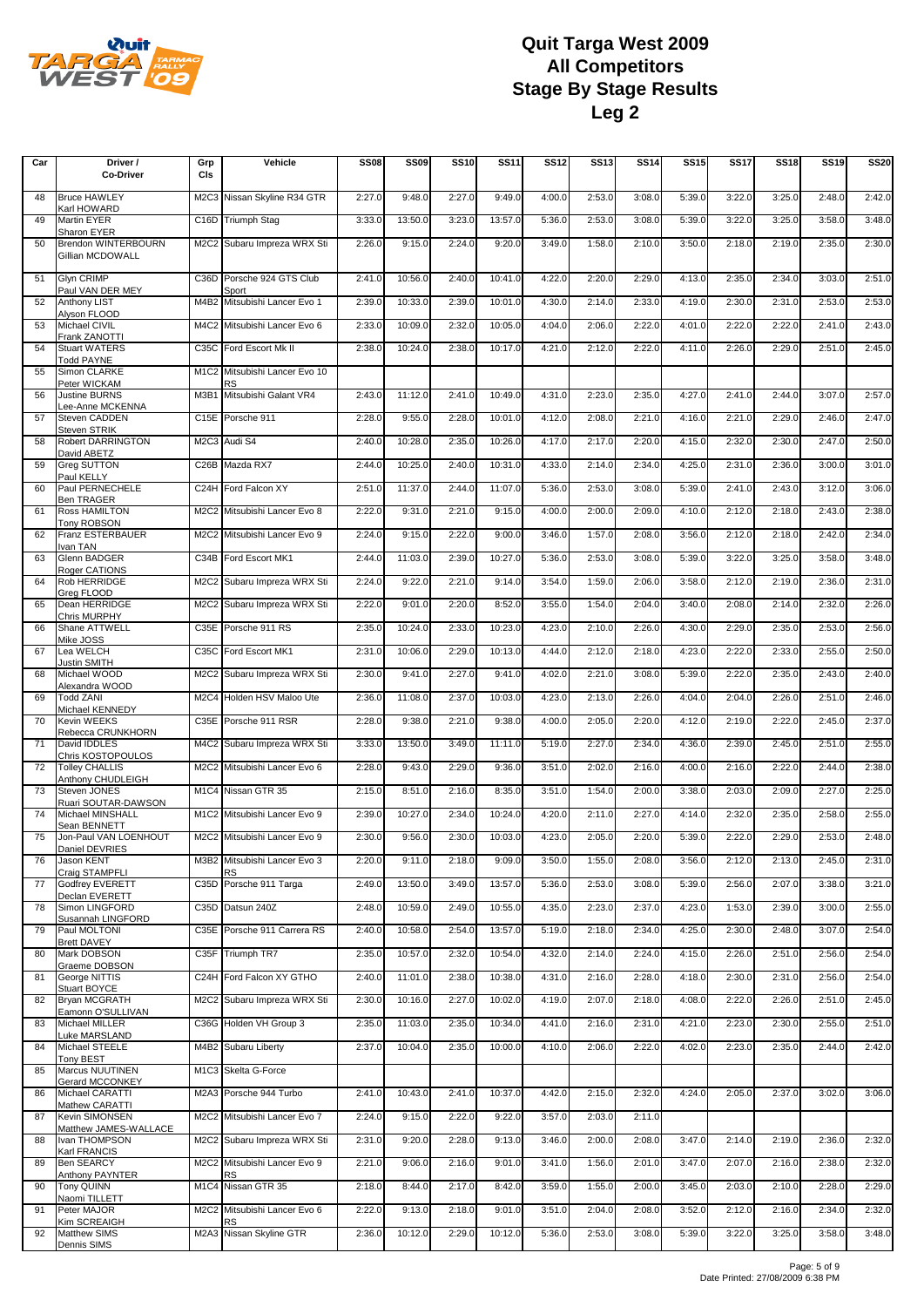

| Car | Driver /<br><b>Co-Driver</b>                           | Grp<br>CIs | Vehicle                                    | <b>SS08</b> | <b>SS09</b> | <b>SS10</b> | <b>SS11</b> | <b>SS12</b> | <b>SS13</b> | <b>SS14</b> | <b>SS15</b> | <b>SS17</b> | <b>SS18</b> | <b>SS19</b> | <b>SS20</b> |
|-----|--------------------------------------------------------|------------|--------------------------------------------|-------------|-------------|-------------|-------------|-------------|-------------|-------------|-------------|-------------|-------------|-------------|-------------|
| 48  | <b>Bruce HAWLEY</b>                                    |            | M2C3 Nissan Skyline R34 GTR                | 2:27.0      | 9:48.0      | 2:27.0      | 9:49.0      | 4:00.0      | 2:53.0      | 3:08.0      | 5:39.0      | 3:22.0      | 3:25.0      | 2:48.0      | 2:42.0      |
| 49  | Karl HOWARD<br><b>Martin EYER</b>                      |            | C16D Triumph Stag                          | 3:33.0      | 13:50.0     | 3:23.0      | 13:57.0     | 5:36.0      | 2:53.0      | 3:08.0      | 5:39.0      | 3:22.0      | 3:25.0      | 3:58.0      | 3:48.0      |
| 50  | Sharon EYER<br>Brendon WINTERBOURN<br>Gillian MCDOWALL |            | M2C2 Subaru Impreza WRX Sti                | 2:26.0      | 9:15.0      | 2:24.0      | 9:20.0      | 3:49.0      | 1:58.0      | 2:10.0      | 3:50.0      | 2:18.0      | 2:19.0      | 2:35.0      | 2:30.0      |
| 51  | <b>Glyn CRIMP</b><br>Paul VAN DER MEY                  |            | C36D Porsche 924 GTS Club<br>Sport         | 2:41.0      | 10:56.0     | 2:40.0      | 10:41.0     | 4:22.0      | 2:20.0      | 2:29.0      | 4:13.0      | 2:35.0      | 2:34.0      | 3:03.0      | 2:51.0      |
| 52  | <b>Anthony LIST</b><br>Alyson FLOOD                    |            | M4B2 Mitsubishi Lancer Evo 1               | 2:39.0      | 10:33.0     | 2:39.0      | 10:01.0     | 4:30.0      | 2:14.0      | 2:33.0      | 4:19.0      | 2:30.0      | 2:31.0      | 2:53.0      | 2:53.0      |
| 53  | Michael CIVIL<br>Frank ZANOTTI                         |            | M4C2 Mitsubishi Lancer Evo 6               | 2:33.0      | 10:09.0     | 2:32.0      | 10:05.0     | 4:04.0      | 2:06.0      | 2:22.0      | 4:01.0      | 2:22.0      | 2:22.0      | 2:41.0      | 2:43.0      |
| 54  | <b>Stuart WATERS</b><br><b>Todd PAYNE</b>              |            | C35C Ford Escort Mk II                     | 2:38.0      | 10:24.0     | 2:38.0      | 10:17.0     | 4:21.0      | 2:12.0      | 2:22.0      | 4:11.0      | 2:26.0      | 2:29.0      | 2:51.0      | 2:45.0      |
| 55  | Simon CLARKE<br>Peter WICKAM                           |            | M1C2 Mitsubishi Lancer Evo 10<br><b>RS</b> |             |             |             |             |             |             |             |             |             |             |             |             |
| 56  | <b>Justine BURNS</b><br>Lee-Anne MCKENNA               |            | M3B1 Mitsubishi Galant VR4                 | 2:43.0      | 11:12.0     | 2:41.0      | 10:49.0     | 4:31.0      | 2:23.0      | 2:35.0      | 4:27.0      | 2:41.0      | 2:44.0      | 3:07.0      | 2:57.0      |
| 57  | Steven CADDEN<br><b>Steven STRIK</b>                   |            | C15E Porsche 911                           | 2:28.0      | 9:55.0      | 2:28.0      | 10:01.0     | 4:12.0      | 2:08.0      | 2:21.0      | 4:16.0      | 2:21.0      | 2:29.0      | 2:46.0      | 2:47.0      |
| 58  | Robert DARRINGTON<br>David ABETZ                       |            | M2C3 Audi S4                               | 2:40.0      | 10:28.0     | 2:35.0      | 10:26.0     | 4:17.0      | 2:17.0      | 2:20.0      | 4:15.0      | 2:32.0      | 2:30.0      | 2:47.0      | 2:50.0      |
| 59  | Greg SUTTON<br>Paul KELLY                              |            | C26B Mazda RX7                             | 2:44.0      | 10:25.0     | 2:40.0      | 10:31.0     | 4:33.0      | 2:14.0      | 2:34.0      | 4:25.0      | 2:31.0      | 2:36.0      | 3:00.0      | 3:01.0      |
| 60  | Paul PERNECHELE<br><b>Ben TRAGER</b>                   |            | C24H Ford Falcon XY                        | 2:51.0      | 11:37.0     | 2:44.0      | 11:07.0     | 5:36.0      | 2:53.0      | 3:08.0      | 5:39.0      | 2:41.0      | 2:43.0      | 3:12.0      | 3:06.0      |
| 61  | <b>Ross HAMILTON</b><br><b>Tony ROBSON</b>             |            | M2C2 Mitsubishi Lancer Evo 8               | 2:22.0      | 9:31.0      | 2:21.0      | 9:15.0      | 4:00.0      | 2:00.0      | 2:09.0      | 4:10.0      | 2:12.0      | 2:18.0      | 2:43.0      | 2:38.0      |
| 62  | Franz ESTERBAUER<br>Ivan TAN                           |            | M2C2 Mitsubishi Lancer Evo 9               | 2:24.0      | 9:15.0      | 2:22.0      | 9:00.0      | 3:46.0      | 1:57.0      | 2:08.0      | 3:56.0      | 2:12.0      | 2:18.0      | 2:42.0      | 2:34.0      |
| 63  | Glenn BADGER<br>Roger CATIONS                          |            | C34B Ford Escort MK1                       | 2:44.0      | 11:03.0     | 2:39.0      | 10:27.0     | 5:36.0      | 2:53.0      | 3:08.0      | 5:39.0      | 3:22.0      | 3:25.0      | 3:58.0      | 3:48.0      |
| 64  | Rob HERRIDGE<br>Greg FLOOD                             |            | M2C2 Subaru Impreza WRX Sti                | 2:24.0      | 9:22.0      | 2:21.0      | 9:14.0      | 3:54.0      | 1:59.0      | 2:06.0      | 3:58.0      | 2:12.0      | 2:19.0      | 2:36.0      | 2:31.0      |
| 65  | Dean HERRIDGE<br>Chris MURPHY                          |            | M2C2 Subaru Impreza WRX Sti                | 2:22.0      | 9:01.0      | 2:20.0      | 8:52.0      | 3:55.0      | 1:54.0      | 2:04.0      | 3:40.0      | 2:08.0      | 2:14.0      | 2:32.0      | 2:26.0      |
| 66  | Shane ATTWELL<br>Mike JOSS                             |            | C35E Porsche 911 RS                        | 2:35.0      | 10:24.0     | 2:33.0      | 10:23.0     | 4:23.0      | 2:10.0      | 2:26.0      | 4:30.0      | 2:29.0      | 2:35.0      | 2:53.0      | 2:56.0      |
| 67  | Lea WELCH<br><b>Justin SMITH</b>                       |            | C35C Ford Escort MK1                       | 2:31.0      | 10:06.0     | 2:29.0      | 10:13.0     | 4:44.0      | 2:12.0      | 2:18.0      | 4:23.0      | 2:22.0      | 2:33.0      | 2:55.0      | 2:50.0      |
| 68  | Michael WOOD<br>Alexandra WOOD                         |            | M2C2 Subaru Impreza WRX Sti                | 2:30.0      | 9:41.0      | 2:27.0      | 9:41.0      | 4:02.0      | 2:21.0      | 3:08.0      | 5:39.0      | 2:22.0      | 2:35.0      | 2:43.0      | 2:40.0      |
| 69  | <b>Todd ZANI</b><br>Michael KENNEDY                    |            | M2C4 Holden HSV Maloo Ute                  | 2:36.0      | 11:08.0     | 2:37.0      | 10:03.0     | 4:23.0      | 2:13.0      | 2:26.0      | 4:04.0      | 2:04.0      | 2:26.0      | 2:51.0      | 2:46.0      |
| 70  | Kevin WEEKS<br>Rebecca CRUNKHORN                       |            | C35E Porsche 911 RSR                       | 2:28.0      | 9:38.0      | 2:21.0      | 9:38.0      | 4:00.0      | 2:05.0      | 2:20.0      | 4:12.0      | 2:19.0      | 2:22.0      | 2:45.0      | 2:37.0      |
| 71  | David IDDLES<br>Chris KOSTOPOULOS                      |            | M4C2 Subaru Impreza WRX Sti                | 3:33.0      | 13:50.0     | 3:49.0      | 11:11.0     | 5:19.0      | 2:27.0      | 2:34.0      | 4:36.0      | 2:39.0      | 2:45.0      | 2:51.0      | 2:55.0      |
| 72  | <b>Tolley CHALLIS</b><br>Anthony CHUDLEIGH             |            | M2C2 Mitsubishi Lancer Evo 6               | 2:28.0      | 9:43.0      | 2:29.0      | 9:36.0      | 3:51.0      | 2:02.0      | 2:16.0      | 4:00.0      | 2:16.0      | 2:22.0      | 2:44.0      | 2:38.0      |
| 73  | Steven JONES<br>Ruari SOUTAR-DAWSON                    |            | M1C4 Nissan GTR 35                         | 2:15.0      | 8:51.0      | 2:16.0      | 8:35.0      | 3:51.0      | 1:54.0      | 2:00.0      | 3:38.0      | 2:03.0      | 2:09.0      | 2:27.0      | 2:25.0      |
| 74  | Michael MINSHALL<br>Sean BENNETT                       |            | M1C2 Mitsubishi Lancer Evo 9               | 2:39.0      | 10:27.0     | 2:34.0      | 10:24.0     | 4:20.0      | 2:11.0      | 2:27.0      | 4:14.0      | 2:32.0      | 2:35.0      | 2:58.0      | 2:55.0      |
| 75  | Jon-Paul VAN LOENHOUT<br>Daniel DEVRIES                |            | M2C2 Mitsubishi Lancer Evo 9               | 2:30.0      | 9:56.0      | 2:30.0      | 10:03.0     | 4:23.0      | 2:05.0      | 2:20.0      | 5:39.0      | 2:22.0      | 2:29.0      | 2:53.0      | 2:48.0      |
| 76  | Jason KENT<br>Craig STAMPFLI                           |            | M3B2 Mitsubishi Lancer Evo 3<br><b>RS</b>  | 2:20.0      | 9:11.0      | 2:18.0      | 9:09.0      | 3:50.0      | 1:55.0      | 2:08.0      | 3:56.0      | 2:12.0      | 2:13.0      | 2:45.0      | 2:31.0      |
| 77  | Godfrey EVERETT<br>Declan EVERETT                      |            | C35D Porsche 911 Targa                     | 2:49.0      | 13:50.0     | 3:49.0      | 13:57.0     | 5:36.0      | 2:53.0      | 3:08.0      | 5:39.0      | 2:56.0      | 2:07.0      | 3:38.0      | 3:21.0      |
| 78  | Simon LINGFORD<br>Susannah LINGFORD                    |            | C35D Datsun 240Z                           | 2:48.0      | 10:59.0     | 2:49.0      | 10:55.0     | 4:35.0      | 2:23.0      | 2:37.0      | 4:23.0      | 1:53.0      | 2:39.0      | 3:00.0      | 2:55.0      |
| 79  | Paul MOLTONI<br><b>Brett DAVEY</b>                     |            | C35E Porsche 911 Carrera RS                | 2:40.0      | 10:58.0     | 2:54.0      | 13:57.0     | 5:19.0      | 2:18.0      | 2:34.0      | 4:25.0      | 2:30.0      | 2:48.0      | 3:07.0      | 2:54.0      |
| 80  | Mark DOBSON<br>Graeme DOBSON                           |            | C35F Triumph TR7                           | 2:35.0      | 10:57.0     | 2:32.0      | 10:54.0     | 4:32.0      | 2:14.0      | 2:24.0      | 4:15.0      | 2:26.0      | 2:51.0      | 2:56.0      | 2:54.0      |
| 81  | George NITTIS<br>Stuart BOYCE                          |            | C24H Ford Falcon XY GTHO                   | 2:40.0      | 11:01.0     | 2:38.0      | 10:38.0     | 4:31.0      | 2:16.0      | 2:28.0      | 4:18.0      | 2:30.0      | 2:31.0      | 2:56.0      | 2:54.0      |
| 82  | <b>Bryan MCGRATH</b><br>Eamonn O'SULLIVAN              |            | M2C2 Subaru Impreza WRX Sti                | 2:30.0      | 10:16.0     | 2:27.0      | 10:02.0     | 4:19.0      | 2:07.0      | 2:18.0      | 4:08.0      | 2:22.0      | 2:26.0      | 2:51.0      | 2:45.0      |
| 83  | Michael MILLER<br>Luke MARSLAND                        |            | C36G Holden VH Group 3                     | 2:35.0      | 11:03.0     | 2:35.0      | 10:34.0     | 4:41.0      | 2:16.0      | 2:31.0      | 4:21.0      | 2:23.0      | 2:30.0      | 2:55.0      | 2:51.0      |
| 84  | Michael STEELE<br><b>Tony BEST</b>                     |            | M4B2 Subaru Liberty                        | 2:37.0      | 10:04.0     | 2:35.0      | 10:00.0     | 4:10.0      | 2:06.0      | 2:22.0      | 4:02.0      | 2:23.0      | 2:35.0      | 2:44.0      | 2:42.0      |
| 85  | Marcus NUUTINEN<br>Gerard MCCONKEY                     |            | M1C3 Skelta G-Force                        |             |             |             |             |             |             |             |             |             |             |             |             |
| 86  | Michael CARATTI<br>Mathew CARATTI                      |            | M2A3 Porsche 944 Turbo                     | 2:41.0      | 10:43.0     | 2:41.0      | 10:37.0     | 4:42.0      | 2:15.0      | 2:32.0      | 4:24.0      | 2:05.0      | 2:37.0      | 3:02.0      | 3:06.0      |
| 87  | Kevin SIMONSEN<br>Matthew JAMES-WALLACE                |            | M2C2 Mitsubishi Lancer Evo 7               | 2:24.0      | 9:15.0      | 2:22.0      | 9:22.0      | 3:57.0      | 2:03.0      | 2:11.0      |             |             |             |             |             |
| 88  | Ivan THOMPSON<br>Karl FRANCIS                          |            | M2C2 Subaru Impreza WRX Sti                | 2:31.0      | 9:20.0      | 2:28.0      | 9:13.0      | 3:46.0      | 2:00.0      | 2:08.0      | 3:47.0      | 2:14.0      | 2:19.0      | 2:36.0      | 2:32.0      |
| 89  | <b>Ben SEARCY</b><br>Anthony PAYNTER                   |            | M2C2 Mitsubishi Lancer Evo 9<br>RS         | 2:21.0      | 9:06.0      | 2:16.0      | 9:01.0      | 3:41.0      | 1:56.0      | 2:01.0      | 3:47.0      | 2:07.0      | 2:16.0      | 2:38.0      | 2:32.0      |
| 90  | Tony QUINN<br>Naomi TILLETT                            |            | M1C4 Nissan GTR 35                         | 2:18.0      | 8:44.0      | 2:17.0      | 8:42.0      | 3:59.0      | 1:55.0      | 2:00.0      | 3:45.0      | 2:03.0      | 2:10.0      | 2:28.0      | 2:29.0      |
| 91  | Peter MAJOR<br>Kim SCREAIGH                            | M2C2       | Mitsubishi Lancer Evo 6<br>RS              | 2:22.0      | 9:13.0      | 2:18.0      | 9:01.0      | 3:51.0      | 2:04.0      | 2:08.0      | 3:52.0      | 2:12.0      | 2:16.0      | 2:34.0      | 2:32.0      |
| 92  | <b>Matthew SIMS</b><br>Dennis SIMS                     |            | M2A3 Nissan Skyline GTR                    | 2:36.0      | 10:12.0     | 2:29.0      | 10:12.0     | 5:36.0      | 2:53.0      | 3:08.0      | 5:39.0      | 3:22.0      | 3:25.0      | 3:58.0      | 3:48.0      |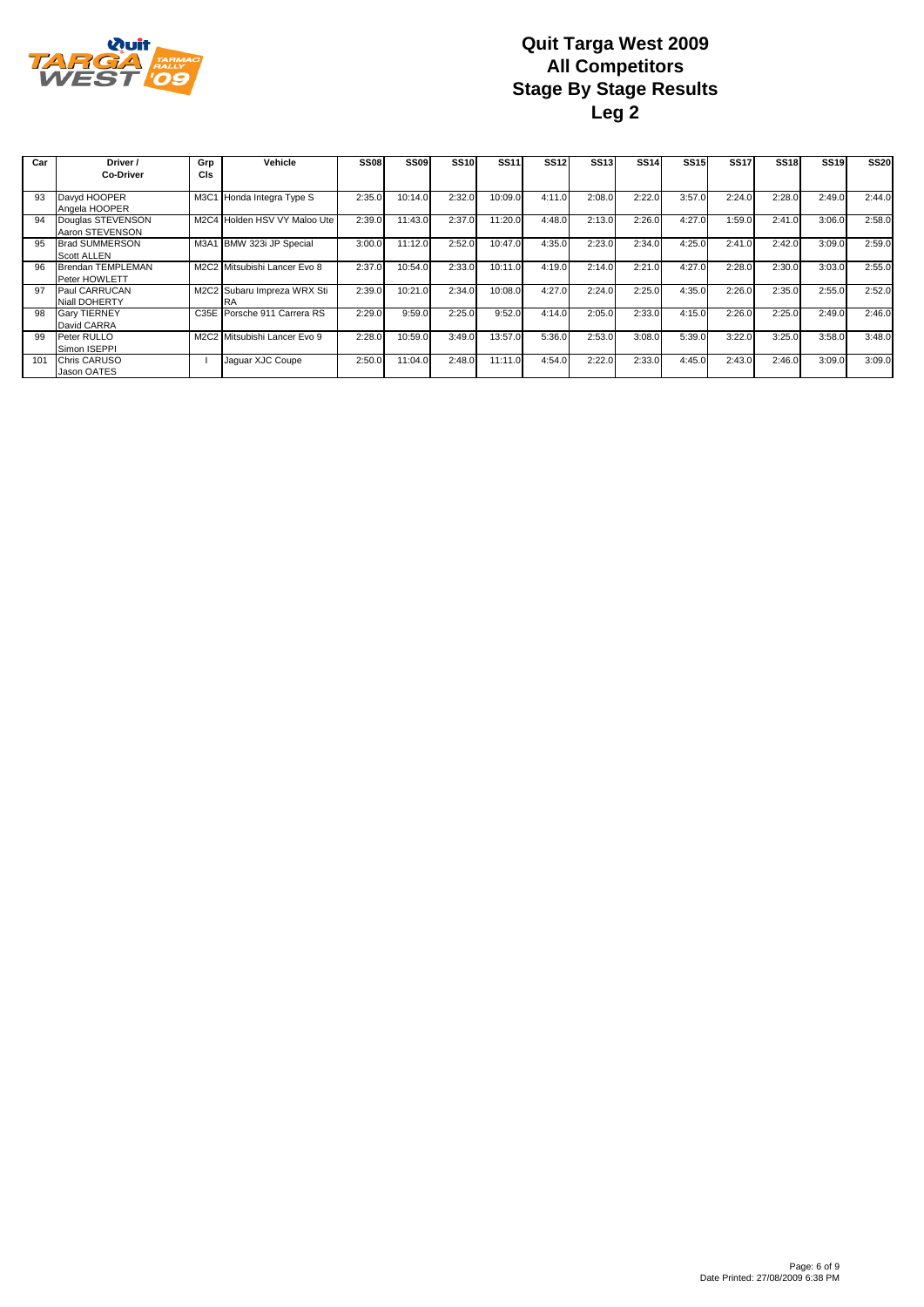

| Car          | Driver /                                    | Grp        | Vehicle                           | <b>SS08</b> | SS <sub>09</sub> | SS <sub>10</sub> | <b>SS11</b> | <b>SS12</b> | <b>SS13</b> | <b>SS14</b> | <b>SS15</b> | <b>SS17</b> | <b>SS18</b> | <b>SS19</b> | <b>SS20</b> |
|--------------|---------------------------------------------|------------|-----------------------------------|-------------|------------------|------------------|-------------|-------------|-------------|-------------|-------------|-------------|-------------|-------------|-------------|
|              | <b>Co-Driver</b>                            | <b>CIs</b> |                                   |             |                  |                  |             |             |             |             |             |             |             |             |             |
| 93           | Davyd HOOPER<br>Angela HOOPER               |            | M3C1 Honda Integra Type S         | 2:35.0      | 10:14.0          | 2:32.0           | 10:09.0     | 4:11.0      | 2:08.0      | 2:22.0      | 3:57.0      | 2:24.0      | 2:28.0      | 2:49.0      | 2:44.0      |
| 94           | Douglas STEVENSON<br>Aaron STEVENSON        |            | M2C4 Holden HSV VY Maloo Ute      | 2:39.0      | 1:43.0           | 2:37.0           | 11:20.0     | 4:48.0      | 2:13.0      | 2:26.0      | 4:27.0      | 1:59.0      | 2:41.0      | 3:06.0      | 2:58.0      |
| 95           | <b>Brad SUMMERSON</b><br><b>Scott ALLEN</b> |            | M3A1 BMW 323i JP Special          | 3:00.0      | 11:12.0          | 2:52.0           | 10:47.0     | 4:35.0      | 2:23.0      | 2:34.0      | 4:25.0      | 2:41.0      | 2:42.0      | 3:09.0      | 2:59.0      |
| 96           | Brendan TEMPLEMAN<br>Peter HOWLETT          |            | M2C2 Mitsubishi Lancer Evo 8      | 2:37.0      | 10:54.0          | 2:33.0           | 10:11.0     | 4:19.0      | 2:14.0      | 2:21.0      | 4:27.0      | 2:28.0      | 2:30.0      | 3:03.0      | 2:55.0      |
| 97           | Paul CARRUCAN<br>Niall DOHERTY              |            | M2C2 Subaru Impreza WRX Sti<br>RA | 2:39.0      | 10:21.0          | 2:34.0           | 10:08.0     | 4:27.0      | 2:24.0      | 2:25.0      | 4:35.0      | 2:26.0      | 2:35.0      | 2:55.0      | 2:52.0      |
| 98           | <b>Gary TIERNEY</b><br>David CARRA          |            | C35E Porsche 911 Carrera RS       | 2:29.0      | 9:59.0           | 2:25.0           | 9:52.0      | 4:14.0      | 2:05.0      | 2:33.0      | 4:15.0      | 2:26.0      | 2:25.0      | 2:49.0      | 2:46.0      |
| 99           | <b>Peter RULLO</b><br>Simon ISEPPI          |            | M2C2 Mitsubishi Lancer Evo 9      | 2:28.0      | 10:59.0          | 3:49.0           | 13:57.0     | 5:36.0      | 2:53.0      | 3:08.0      | 5:39.0      | 3:22.0      | 3:25.0      | 3:58.0      | 3:48.0      |
| $10^{\circ}$ | <b>Chris CARUSO</b><br>Jason OATES          |            | Jaquar XJC Coupe                  | 2:50.0      | 1:04.0           | 2:48.0           | 11:11.0     | 4:54.0      | 2:22.0      | 2:33.0      | 4:45.0      | 2:43.0      | 2:46.0      | 3:09.0      | 3:09.0      |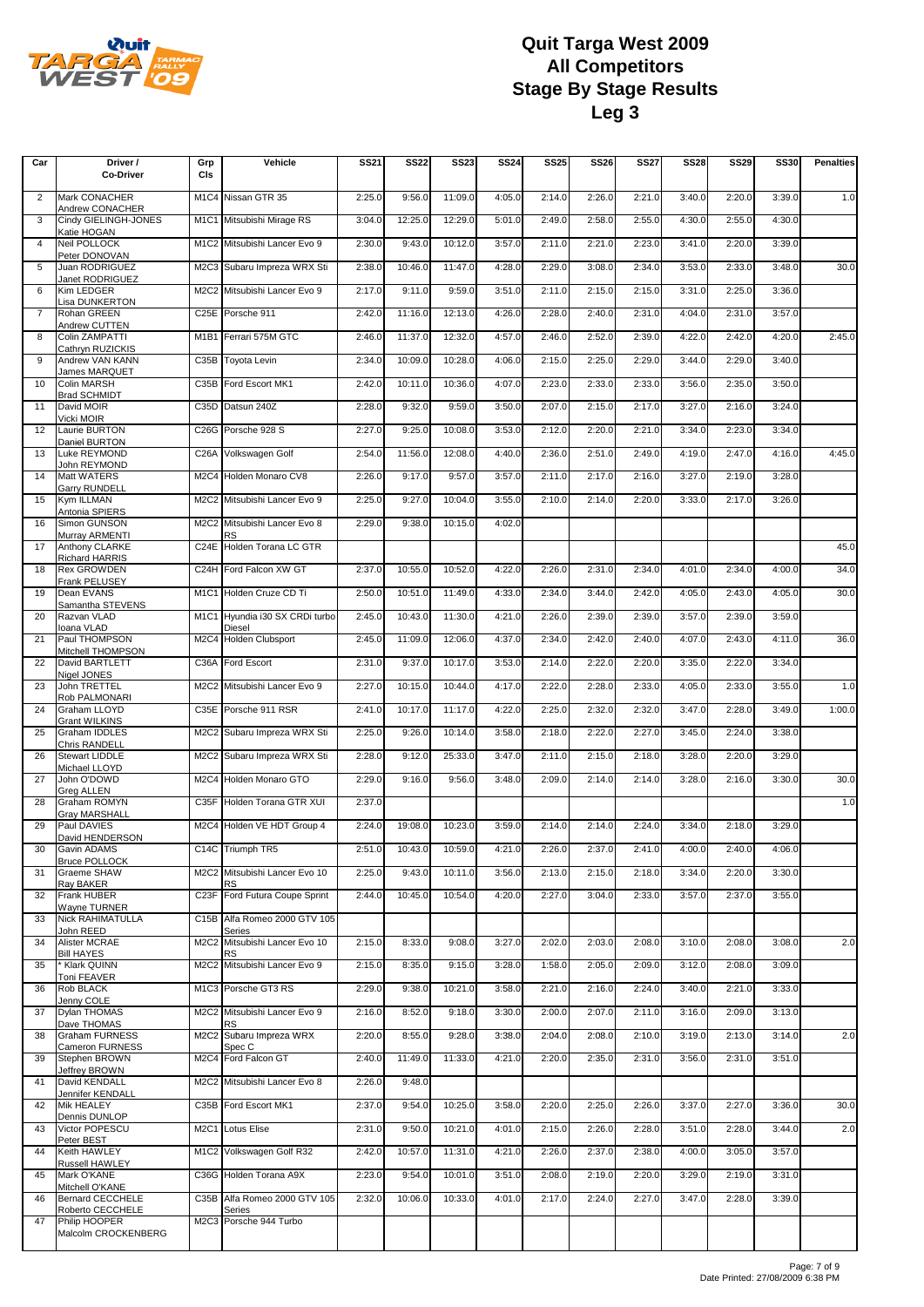

| Car            | Driver /<br><b>Co-Driver</b>                | Grp<br>CIS                    | Vehicle                                 | <b>SS21</b> | <b>SS22</b> | <b>SS23</b> | <b>SS24</b> | <b>SS25</b> | <b>SS26</b> | <b>SS27</b> | <b>SS28</b> | <b>SS29</b> | <b>SS30</b> | <b>Penalties</b> |
|----------------|---------------------------------------------|-------------------------------|-----------------------------------------|-------------|-------------|-------------|-------------|-------------|-------------|-------------|-------------|-------------|-------------|------------------|
| $\overline{2}$ | Mark CONACHER                               |                               | M1C4 Nissan GTR 35                      | 2:25.0      | 9:56.0      | 11:09.0     | 4:05.0      | 2:14.0      | 2:26.0      | 2:21.0      | 3:40.0      | 2:20.0      | 3:39.0      | 1.0              |
| 3              | Andrew CONACHER<br>Cindy GIELINGH-JONES     |                               | M1C1 Mitsubishi Mirage RS               | 3:04.0      | 12:25.0     | 12:29.0     | 5:01.0      | 2:49.0      | 2:58.0      | 2:55.0      | 4:30.0      | 2:55.0      | 4:30.0      |                  |
| $\overline{4}$ | Katie HOGAN<br><b>Neil POLLOCK</b>          |                               | M1C2 Mitsubishi Lancer Evo 9            | 2:30.0      | 9:43.0      | 10:12.0     | 3:57.0      | 2:11.0      | 2:21.0      | 2:23.0      | 3:41.0      | 2:20.0      | 3:39.0      |                  |
| 5              | Peter DONOVAN<br>Juan RODRIGUEZ             |                               | M2C3 Subaru Impreza WRX Sti             | 2:38.0      | 10:46.0     | 11:47.0     | 4:28.0      | 2:29.0      | 3:08.0      | 2:34.0      | 3:53.0      | 2:33.0      | 3:48.0      | 30.0             |
| 6              | Janet RODRIGUEZ<br>Kim LEDGER               |                               | M2C2 Mitsubishi Lancer Evo 9            | 2:17.0      | 9:11.0      | 9:59.0      | 3:51.0      | 2:11.0      | 2:15.0      | 2:15.0      | 3:31.0      | 2:25.0      | 3:36.0      |                  |
| $\overline{7}$ | <b>Lisa DUNKERTON</b><br>Rohan GREEN        |                               | C25E Porsche 911                        | 2:42.0      | 11:16.0     | 12:13.0     | 4:26.0      | 2:28.0      | 2:40.0      | 2:31.0      | 4:04.0      | 2:31.0      | 3:57.0      |                  |
| 8              | Andrew CUTTEN<br>Colin ZAMPATTI             | M1B1                          | Ferrari 575M GTC                        | 2:46.0      | 11:37.0     | 12:32.0     | 4:57.0      | 2:46.0      | 2:52.0      | 2:39.0      | 4:22.0      | 2:42.0      | 4:20.0      | 2:45.0           |
| 9              | Cathryn RUZICKIS<br>Andrew VAN KANN         | C <sub>35</sub> B             | <b>Toyota Levin</b>                     | 2:34.0      | 10:09.0     | 10:28.0     | 4:06.0      | 2:15.0      | 2:25.0      | 2:29.0      | 3:44.0      | 2:29.0      | 3:40.0      |                  |
| 10             | James MARQUET<br>Colin MARSH                | C35B                          | Ford Escort MK1                         | 2:42.0      | 10:11.0     | 10:36.0     | 4:07.0      | 2:23.0      | 2:33.0      | 2:33.0      | 3:56.0      | 2:35.0      | 3:50.0      |                  |
| 11             | <b>Brad SCHMIDT</b><br>David MOIR           |                               | C35D Datsun 240Z                        | 2:28.0      | 9:32.0      | 9:59.0      | 3:50.0      | 2:07.0      | 2:15.0      | 2:17.0      | 3:27.0      | 2:16.0      | 3:24.0      |                  |
| 12             | Vicki MOIR<br>Laurie BURTON                 | C26G                          | Porsche 928 S                           | 2:27.0      | 9:25.0      | 10:08.0     | 3:53.0      | 2:12.0      | 2:20.0      | 2:21.0      | 3:34.0      | 2:23.0      | 3:34.0      |                  |
| 13             | Daniel BURTON<br>Luke REYMOND               | C26A                          | Volkswagen Golf                         | 2:54.0      | 11:56.0     | 12:08.0     | 4:40.0      | 2:36.0      | 2:51.0      | 2:49.0      | 4:19.0      | 2:47.0      | 4:16.0      | 4:45.0           |
| 14             | John REYMOND<br>Matt WATERS                 | M <sub>2</sub> C <sub>4</sub> | Holden Monaro CV8                       | 2:26.0      | 9:17.0      | 9:57.0      | 3:57.0      | 2:11.0      | 2:17.0      | 2:16.0      | 3:27.0      | 2:19.0      | 3:28.0      |                  |
| 15             | <b>Garry RUNDELL</b><br>Kym ILLMAN          |                               | M2C2 Mitsubishi Lancer Evo 9            | 2:25.0      | 9:27.0      | 10:04.0     | 3:55.0      | 2:10.0      | 2:14.0      | 2:20.0      | 3:33.0      | 2:17.0      | 3:26.0      |                  |
| 16             | Antonia SPIERS<br>Simon GUNSON              | M2C2                          | Mitsubishi Lancer Evo 8                 | 2:29.0      | 9:38.0      | 10:15.0     | 4:02.0      |             |             |             |             |             |             |                  |
| 17             | Murray ARMENTI<br>Anthony CLARKE            | C <sub>24</sub> E             | <b>RS</b><br>Holden Torana LC GTR       |             |             |             |             |             |             |             |             |             |             | 45.0             |
| 18             | <b>Richard HARRIS</b><br><b>Rex GROWDEN</b> | C <sub>24</sub> H             | Ford Falcon XW GT                       | 2:37.0      | 10:55.0     | 10:52.0     | 4:22.0      | 2:26.0      | 2:31.0      | 2:34.0      | 4:01.0      | 2:34.0      | 4:00.0      | 34.0             |
| 19             | Frank PELUSEY<br>Dean EVANS                 |                               | M1C1 Holden Cruze CD Ti                 | 2:50.0      | 10:51.0     | 11:49.0     | 4:33.0      | 2:34.0      | 3:44.0      | 2:42.0      | 4:05.0      | 2:43.0      | 4:05.0      | 30.0             |
| 20             | Samantha STEVENS<br>Razvan VLAD             | M <sub>1</sub> C <sub>1</sub> | Hyundia i30 SX CRDi turbo               | 2:45.0      | 10:43.0     | 11:30.0     | 4:21.0      | 2:26.0      | 2:39.0      | 2:39.0      | 3:57.0      | 2:39.0      | 3:59.0      |                  |
| 21             | loana VLAD<br>Paul THOMPSON                 | M <sub>2</sub> C <sub>4</sub> | Diesel<br>Holden Clubsport              | 2:45.0      | 11:09.0     | 12:06.0     | 4:37.0      | 2:34.0      | 2:42.0      | 2:40.0      | 4:07.0      | 2:43.0      | 4:11.0      | 36.0             |
| 22             | Mitchell THOMPSON<br>David BARTLETT         | C36A                          | Ford Escort                             | 2:31.0      | 9:37.0      | 10:17.0     | 3:53.0      | 2:14.0      | 2:22.0      | 2:20.0      | 3:35.0      | 2:22.0      | 3:34.0      |                  |
| 23             | Nigel JONES<br>John TRETTEL                 |                               | M2C2 Mitsubishi Lancer Evo 9            | 2:27.0      | 10:15.0     | 10:44.0     | 4:17.0      | 2:22.0      | 2:28.0      | 2:33.0      | 4:05.0      | 2:33.0      | 3:55.0      | 1.0              |
| 24             | Rob PALMONARI<br>Graham LLOYD               | C35E                          | Porsche 911 RSR                         | 2:41.0      | 10:17.0     | 11:17.0     | 4:22.0      | 2:25.0      | 2:32.0      | 2:32.0      | 3:47.0      | 2:28.0      | 3:49.0      | 1:00.0           |
| 25             | Grant WILKINS<br><b>Graham IDDLES</b>       | M <sub>2</sub> C <sub>2</sub> | Subaru Impreza WRX Sti                  | 2:25.0      | 9:26.0      | 10:14.0     | 3:58.0      | 2:18.0      | 2:22.0      | 2:27.0      | 3:45.0      | 2:24.0      | 3:38.0      |                  |
| 26             | Chris RANDELL<br><b>Stewart LIDDLE</b>      | M <sub>2</sub> C <sub>2</sub> | Subaru Impreza WRX Sti                  | 2:28.0      | 9:12.0      | 25:33.0     | 3:47.0      | 2:11.0      | 2:15.0      | 2:18.0      | 3:28.0      | 2:20.0      | 3:29.0      |                  |
| 27             | Michael LLOYD<br>John O'DOWD                |                               | M2C4 Holden Monaro GTO                  | 2:29.0      | 9:16.0      | 9:56.0      | 3:48.0      | 2:09.0      | 2:14.0      | 2:14.0      | 3:28.0      | 2:16.0      | 3:30.0      | 30.0             |
| 28             | <b>Greg ALLEN</b><br><b>Graham ROMYN</b>    | C <sub>35</sub> F             | Holden Torana GTR XUI                   | 2:37.0      |             |             |             |             |             |             |             |             |             | 1.0              |
| 29             | Gray MARSHALL<br>Paul DAVIES                |                               | M2C4 Holden VE HDT Group 4              | 2:24.0      | 19:08.0     | 10:23.0     | 3:59.0      | 2:14.0      | 2:14.0      | 2:24.0      | 3:34.0      | 2:18.0      | 3:29.0      |                  |
| 30             | David HENDERSON<br>Gavin ADAMS              |                               | C14C Triumph TR5                        | 2:51.0      | 10:43.0     | 10:59.0     | 4:21.0      | 2:26.0      | 2:37.0      | 2:41.0      | 4:00.0      | 2:40.0      | 4:06.0      |                  |
| 31             | <b>Bruce POLLOCK</b><br>Graeme SHAW         |                               | M2C2 Mitsubishi Lancer Evo 10           | 2:25.0      | 9:43.0      | 10:11.0     | 3:56.0      | 2:13.0      | 2:15.0      | 2:18.0      | 3:34.0      | 2:20.0      | 3:30.0      |                  |
| 32             | Ray BAKER<br><b>Frank HUBER</b>             |                               | RS<br>C23F Ford Futura Coupe Sprint     | 2:44.0      | 10:45.0     | 10:54.0     | 4:20.0      | 2:27.0      | 3:04.0      | 2:33.0      | 3:57.0      | 2:37.0      | 3:55.0      |                  |
| 33             | Wayne TURNER<br>Nick RAHIMATULLA            |                               | C15B Alfa Romeo 2000 GTV 105            |             |             |             |             |             |             |             |             |             |             |                  |
| 34             | John REED<br><b>Alister MCRAE</b>           |                               | Series<br>M2C2 Mitsubishi Lancer Evo 10 | 2:15.0      | 8:33.0      | 9:08.0      | 3:27.0      | 2:02.0      | 2:03.0      | 2:08.0      | 3:10.0      | 2:08.0      | 3:08.0      | 2.0              |
| 35             | <b>Bill HAYES</b><br>* Klark QUINN          |                               | RS<br>M2C2 Mitsubishi Lancer Evo 9      | 2:15.0      | 8:35.0      | 9:15.0      | 3:28.0      | 1:58.0      | 2:05.0      | 2:09.0      | 3:12.0      | 2:08.0      | 3:09.0      |                  |
| 36             | Toni FEAVER<br>Rob BLACK                    |                               | M1C3 Porsche GT3 RS                     | 2:29.0      | 9:38.0      | 10:21.0     | 3:58.0      | 2:21.0      | 2:16.0      | 2:24.0      | 3:40.0      | 2:21.0      | 3:33.0      |                  |
| 37             | Jenny COLE<br><b>Dylan THOMAS</b>           |                               | M2C2 Mitsubishi Lancer Evo 9            | 2:16.0      | 8:52.0      | 9:18.0      | 3:30.0      | 2:00.0      | 2:07.0      | 2:11.0      | 3:16.0      | 2:09.0      | 3:13.0      |                  |
| 38             | Dave THOMAS<br><b>Graham FURNESS</b>        |                               | <b>RS</b><br>M2C2 Subaru Impreza WRX    | 2:20.0      | 8:55.0      | 9:28.0      | 3:38.0      | 2:04.0      | 2:08.0      | 2:10.0      | 3:19.0      | 2:13.0      | 3:14.0      | 2.0              |
| 39             | Cameron FURNESS<br>Stephen BROWN            |                               | Spec C<br>M2C4 Ford Falcon GT           | 2:40.0      | 11:49.0     | 11:33.0     | 4:21.0      | 2:20.0      | 2:35.0      | 2:31.0      | 3:56.0      | 2:31.0      | 3:51.0      |                  |
| 41             | Jeffrey BROWN<br>David KENDALL              |                               | M2C2 Mitsubishi Lancer Evo 8            | 2:26.0      | 9:48.0      |             |             |             |             |             |             |             |             |                  |
| 42             | Jennifer KENDALL<br>Mik HEALEY              |                               | C35B Ford Escort MK1                    | 2:37.0      | 9:54.0      | 10:25.0     | 3:58.0      | 2:20.0      | 2:25.0      | 2:26.0      | 3:37.0      | 2:27.0      | 3:36.0      | 30.0             |
| 43             | Dennis DUNLOP<br>Victor POPESCU             |                               | M2C1 Lotus Elise                        | 2:31.0      | 9:50.0      | 10:21.0     | 4:01.0      | 2:15.0      | 2:26.0      | 2:28.0      | 3:51.0      | 2:28.0      | 3:44.0      | 2.0              |
| 44             | Peter BEST<br>Keith HAWLEY                  |                               | M1C2 Volkswagen Golf R32                | 2:42.0      | 10:57.0     | 11:31.0     | 4:21.0      | 2:26.0      | 2:37.0      | 2:38.0      | 4:00.0      | 3:05.0      | 3:57.0      |                  |
| 45             | Russell HAWLEY<br>Mark O'KANE               |                               | C36G Holden Torana A9X                  | 2:23.0      | 9:54.0      | 10:01.0     | 3:51.0      | 2:08.0      | 2:19.0      | 2:20.0      | 3:29.0      | 2:19.0      | 3:31.0      |                  |
| 46             | Mitchell O'KANE<br><b>Bernard CECCHELE</b>  |                               | C35B Alfa Romeo 2000 GTV 105            | 2:32.0      | 10:06.0     | 10:33.0     | 4:01.0      | 2:17.0      | 2:24.0      | 2:27.0      | 3:47.0      | 2:28.0      | 3:39.0      |                  |
| 47             | Roberto CECCHELE<br>Philip HOOPER           |                               | Series<br>M2C3 Porsche 944 Turbo        |             |             |             |             |             |             |             |             |             |             |                  |
|                | Malcolm CROCKENBERG                         |                               |                                         |             |             |             |             |             |             |             |             |             |             |                  |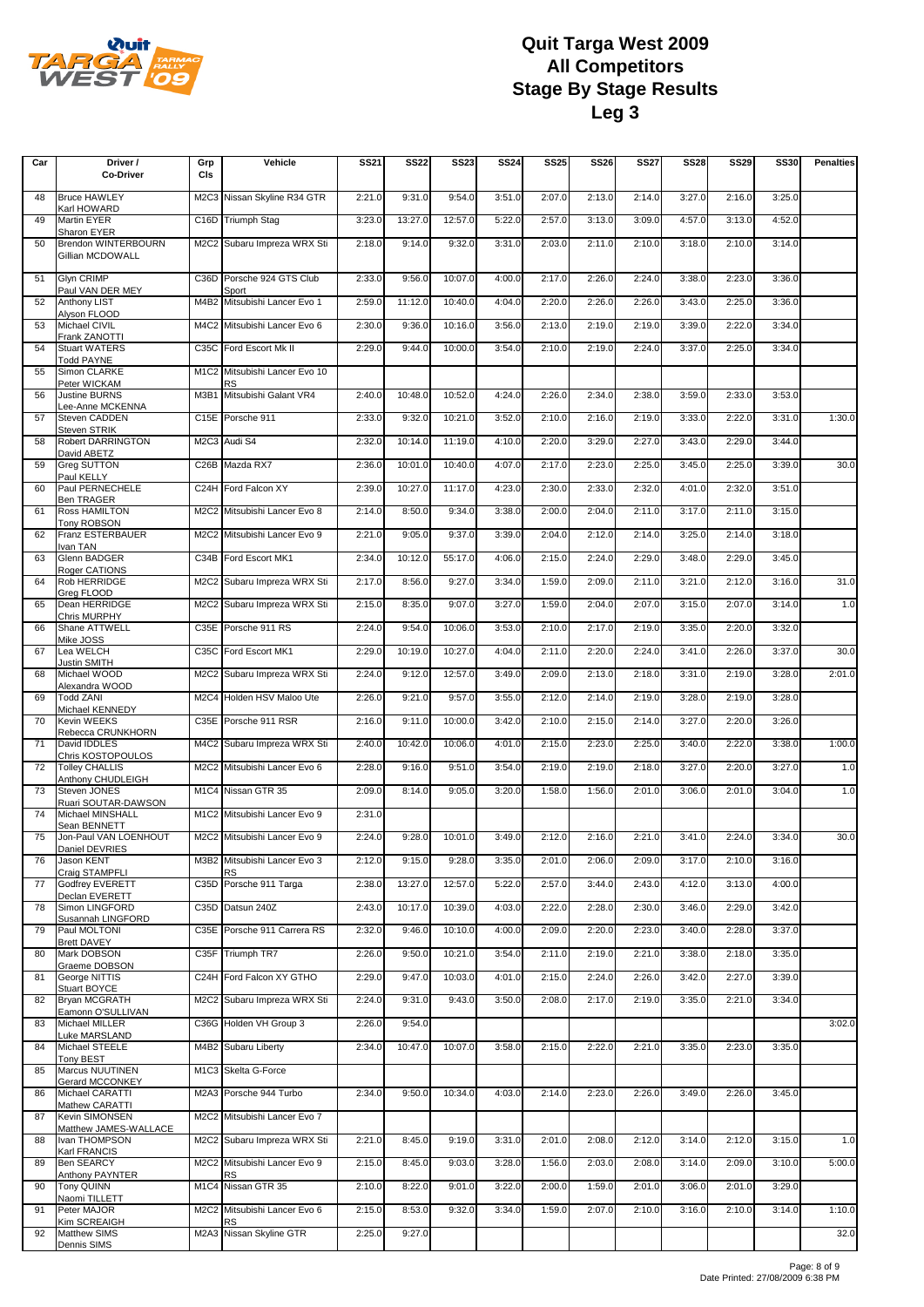

| Car | Driver /                                   | Grp                           | Vehicle                                   | <b>SS21</b> | <b>SS22</b> | <b>SS23</b> | <b>SS24</b> | <b>SS25</b> | <b>SS26</b> | <b>SS27</b> | <b>SS28</b> | <b>SS29</b> | <b>SS30</b> | <b>Penalties</b> |
|-----|--------------------------------------------|-------------------------------|-------------------------------------------|-------------|-------------|-------------|-------------|-------------|-------------|-------------|-------------|-------------|-------------|------------------|
|     | Co-Driver                                  | CIs                           |                                           |             |             |             |             |             |             |             |             |             |             |                  |
|     |                                            |                               |                                           |             |             |             |             |             |             |             |             |             |             |                  |
| 48  | <b>Bruce HAWLEY</b><br>Karl HOWARD         |                               | M2C3 Nissan Skyline R34 GTR               | 2:21.0      | 9:31.0      | 9:54.0      | 3:51.0      | 2:07.0      | 2:13.0      | 2:14.0      | 3:27.0      | 2:16.0      | 3:25.0      |                  |
| 49  | Martin EYER                                |                               | C16D Triumph Stag                         | 3:23.0      | 13:27.0     | 12:57.0     | 5:22.0      | 2:57.0      | 3:13.0      | 3:09.0      | 4:57.0      | 3:13.0      | 4:52.0      |                  |
| 50  | Sharon EYER<br><b>Brendon WINTERBOURN</b>  |                               | M2C2 Subaru Impreza WRX Sti               | 2:18.0      | 9:14.0      | 9:32.0      | 3:31.0      | 2:03.0      | 2:11.0      | 2:10.0      | 3:18.0      | 2:10.0      | 3:14.0      |                  |
|     | Gillian MCDOWALL                           |                               |                                           |             |             |             |             |             |             |             |             |             |             |                  |
|     |                                            |                               |                                           |             |             |             |             |             |             |             |             |             |             |                  |
| 51  | <b>Glyn CRIMP</b><br>Paul VAN DER MEY      |                               | C36D Porsche 924 GTS Club<br>Sport        | 2:33.0      | 9:56.0      | 10:07.0     | 4:00.0      | 2:17.0      | 2:26.0      | 2:24.0      | 3:38.0      | 2:23.0      | 3:36.0      |                  |
| 52  | <b>Anthony LIST</b>                        | M4B2                          | Mitsubishi Lancer Evo 1                   | 2:59.0      | 11:12.0     | 10:40.0     | 4:04.0      | 2:20.0      | 2:26.0      | 2:26.0      | 3:43.0      | 2:25.0      | 3:36.0      |                  |
| 53  | Alyson FLOOD<br>Michael CIVIL              | M4C2                          | Mitsubishi Lancer Evo 6                   | 2:30.0      | 9:36.0      | 10:16.0     | 3:56.0      | 2:13.0      | 2:19.0      | 2:19.0      | 3:39.0      | 2:22.0      | 3:34.0      |                  |
|     | Frank ZANOTTI                              |                               |                                           |             |             |             |             |             |             |             |             |             |             |                  |
| 54  | <b>Stuart WATERS</b><br><b>Todd PAYNE</b>  |                               | C35C Ford Escort Mk II                    | 2:29.0      | 9:44.0      | 10:00.0     | 3:54.0      | 2:10.0      | 2:19.0      | 2:24.0      | 3:37.0      | 2:25.0      | 3:34.0      |                  |
| 55  | Simon CLARKE                               | M <sub>1</sub> C <sub>2</sub> | Mitsubishi Lancer Evo 10                  |             |             |             |             |             |             |             |             |             |             |                  |
| 56  | Peter WICKAM<br><b>Justine BURNS</b>       | M3B1                          | <b>RS</b><br>Mitsubishi Galant VR4        | 2:40.0      | 10:48.0     | 10:52.0     | 4:24.0      | 2:26.0      | 2:34.0      | 2:38.0      | 3:59.0      | 2:33.0      | 3:53.0      |                  |
|     | Lee-Anne MCKENNA                           |                               |                                           |             |             |             |             |             |             |             |             |             |             |                  |
| 57  | Steven CADDEN<br><b>Steven STRIK</b>       | C <sub>15E</sub>              | Porsche 911                               | 2:33.0      | 9:32.0      | 10:21.0     | 3:52.0      | 2:10.0      | 2:16.0      | 2:19.0      | 3:33.0      | 2:22.0      | 3:31.0      | 1:30.0           |
| 58  | <b>Robert DARRINGTON</b>                   |                               | M2C3 Audi S4                              | 2:32.0      | 10:14.0     | 11:19.0     | 4:10.0      | 2:20.0      | 3:29.0      | 2:27.0      | 3:43.0      | 2:29.0      | 3:44.0      |                  |
|     | David ABETZ                                |                               |                                           |             |             |             |             |             |             |             |             |             |             |                  |
| 59  | Greg SUTTON<br>Paul KELLY                  |                               | C26B Mazda RX7                            | 2:36.0      | 10:01.0     | 10:40.0     | 4:07.0      | 2:17.0      | 2:23.0      | 2:25.0      | 3:45.0      | 2:25.0      | 3:39.0      | 30.0             |
| 60  | Paul PERNECHELE                            |                               | C24H Ford Falcon XY                       | 2:39.0      | 10:27.0     | 11:17.0     | 4:23.0      | 2:30.0      | 2:33.0      | 2:32.0      | 4:01.0      | 2:32.0      | 3:51.0      |                  |
| 61  | <b>Ben TRAGER</b><br>Ross HAMILTON         | M <sub>2</sub> C <sub>2</sub> | Mitsubishi Lancer Evo 8                   | 2:14.0      | 8:50.0      | 9:34.0      | 3:38.0      | 2:00.0      | 2:04.0      | 2:11.0      | 3:17.0      | 2:11.0      | 3:15.0      |                  |
|     | Tony ROBSON                                |                               |                                           |             |             |             |             |             |             |             |             |             |             |                  |
| 62  | <b>Franz ESTERBAUER</b><br>Ivan TAN        |                               | M2C2 Mitsubishi Lancer Evo 9              | 2:21.0      | 9:05.0      | 9:37.0      | 3:39.0      | 2:04.0      | 2:12.0      | 2:14.0      | 3:25.0      | 2:14.0      | 3:18.0      |                  |
| 63  | Glenn BADGER                               | C34B                          | Ford Escort MK1                           | 2:34.0      | 10:12.0     | 55:17.0     | 4:06.0      | 2:15.0      | 2:24.0      | 2:29.0      | 3:48.0      | 2:29.0      | 3:45.0      |                  |
| 64  | Roger CATIONS<br>Rob HERRIDGE              |                               | M2C2 Subaru Impreza WRX Sti               | 2:17.0      | 8:56.0      | 9:27.0      | 3:34.0      | 1:59.0      | 2:09.0      | 2:11.0      | 3:21.0      | 2:12.0      | 3:16.0      | 31.0             |
|     | Greg FLOOD                                 |                               |                                           |             |             |             |             |             |             |             |             |             |             |                  |
| 65  | Dean HERRIDGE<br>Chris MURPHY              | M2C2                          | Subaru Impreza WRX Sti                    | 2:15.0      | 8:35.0      | 9:07.0      | 3:27.0      | 1:59.0      | 2:04.0      | 2:07.0      | 3:15.0      | 2:07.0      | 3:14.0      | 1.0              |
| 66  | Shane ATTWELL                              |                               | C35E Porsche 911 RS                       | 2:24.0      | 9:54.0      | 10:06.0     | 3:53.0      | 2:10.0      | 2:17.0      | 2:19.0      | 3:35.0      | 2:20.0      | 3:32.0      |                  |
|     | Mike JOSS<br>Lea WELCH                     |                               | C35C Ford Escort MK1                      | 2:29.0      | 10:19.0     | 10:27.0     | 4:04.0      | 2:11.0      | 2:20.0      | 2:24.0      | 3:41.0      | 2:26.0      | 3:37.0      | 30.0             |
| 67  | <b>Justin SMITH</b>                        |                               |                                           |             |             |             |             |             |             |             |             |             |             |                  |
| 68  | Michael WOOD                               |                               | M2C2 Subaru Impreza WRX Sti               | 2:24.0      | 9:12.0      | 12:57.0     | 3:49.0      | 2:09.0      | 2:13.0      | 2:18.0      | 3:31.0      | 2:19.0      | 3:28.0      | 2:01.0           |
| 69  | Alexandra WOOD<br><b>Todd ZANI</b>         |                               | M2C4 Holden HSV Maloo Ute                 | 2:26.0      | 9:21.0      | 9:57.0      | 3:55.0      | 2:12.0      | 2:14.0      | 2:19.0      | 3:28.0      | 2:19.0      | 3:28.0      |                  |
|     | Michael KENNEDY                            |                               |                                           |             |             |             |             |             |             |             |             |             |             |                  |
| 70  | Kevin WEEKS<br>Rebecca CRUNKHORN           |                               | C35E Porsche 911 RSR                      | 2:16.0      | 9:11.0      | 10:00.0     | 3:42.0      | 2:10.0      | 2:15.0      | 2:14.0      | 3:27.0      | 2:20.0      | 3:26.0      |                  |
| 71  | David IDDLES                               | M4C2                          | Subaru Impreza WRX Sti                    | 2:40.0      | 10:42.0     | 10:06.0     | 4:01.0      | 2:15.0      | 2:23.0      | 2:25.0      | 3:40.0      | 2:22.0      | 3:38.0      | 1:00.0           |
| 72  | Chris KOSTOPOULOS<br><b>Tolley CHALLIS</b> |                               | M2C2 Mitsubishi Lancer Evo 6              | 2:28.0      | 9:16.0      | 9:51.0      | 3:54.0      | 2:19.0      | 2:19.0      | 2:18.0      | 3:27.0      | 2:20.0      | 3:27.0      | 1.0              |
|     | Anthony CHUDLEIGH                          |                               |                                           |             |             |             |             |             |             |             |             |             |             |                  |
| 73  | Steven JONES<br>Ruari SOUTAR-DAWSON        |                               | M1C4 Nissan GTR 35                        | 2:09.0      | 8:14.0      | 9:05.0      | 3:20.0      | 1:58.0      | 1:56.0      | 2:01.0      | 3:06.0      | 2:01.0      | 3:04.0      | 1.0              |
| 74  | Michael MINSHALL                           |                               | M1C2 Mitsubishi Lancer Evo 9              | 2:31.0      |             |             |             |             |             |             |             |             |             |                  |
|     | Sean BENNETT                               |                               | M2C2 Mitsubishi Lancer Evo 9              | 2:24.0      | 9:28.0      | 10:01.0     | 3:49.0      | 2:12.0      | 2:16.0      | 2:21.0      | 3:41.0      | 2:24.0      | 3:34.0      | 30.0             |
| 75  | Jon-Paul VAN LOENHOUT<br>Daniel DEVRIES    |                               |                                           |             |             |             |             |             |             |             |             |             |             |                  |
| 76  | Jason KENT                                 |                               | M3B2 Mitsubishi Lancer Evo 3              | 2:12.0      | 9:15.0      | 9:28.0      | 3:35.0      | 2:01.0      | 2:06.0      | 2:09.0      | 3:17.0      | 2:10.0      | 3:16.0      |                  |
| 77  | Craig STAMPFLI<br>Godfrey EVERETT          |                               | <b>RS</b><br>C35D Porsche 911 Targa       | 2:38.0      | 13:27.0     | 12:57.0     | 5:22.0      | 2:57.0      | 3:44.0      | 2:43.0      | 4:12.0      | 3:13.0      | 4:00.0      |                  |
|     | Declan EVERETT                             |                               |                                           |             |             |             |             |             |             |             |             |             |             |                  |
| 78  | Simon LINGFORD<br>Susannah LINGFORD        |                               | C35D Datsun 240Z                          | 2:43.0      | 10:17.0     | 10:39.0     | 4:03.0      | 2:22.0      | 2:28.0      | 2:30.0      | 3:46.0      | 2:29.0      | 3:42.0      |                  |
| 79  | Paul MOLTONI                               |                               | C35E Porsche 911 Carrera RS               | 2:32.0      | 9:46.0      | 10:10.0     | 4:00.0      | 2:09.0      | 2:20.0      | 2:23.0      | 3:40.0      | 2:28.0      | 3:37.0      |                  |
| 80  | <b>Brett DAVEY</b><br>Mark DOBSON          |                               | C35F Triumph TR7                          | 2:26.0      | 9:50.0      | 10:21.0     | 3:54.0      | 2:11.0      | 2:19.0      | 2:21.0      | 3:38.0      | 2:18.0      | 3:35.0      |                  |
|     | Graeme DOBSON                              |                               |                                           |             |             |             |             |             |             |             |             |             |             |                  |
| 81  | George NITTIS<br>Stuart BOYCE              |                               | C24H Ford Falcon XY GTHO                  | 2:29.0      | 9:47.0      | 10:03.0     | 4:01.0      | 2:15.0      | 2:24.0      | 2:26.0      | 3:42.0      | 2:27.0      | 3:39.0      |                  |
| 82  | <b>Bryan MCGRATH</b>                       |                               | M2C2 Subaru Impreza WRX Sti               | 2:24.0      | 9:31.0      | 9:43.0      | 3:50.0      | 2:08.0      | 2:17.0      | 2:19.0      | 3:35.0      | 2:21.0      | 3:34.0      |                  |
| 83  | Eamonn O'SULLIVAN<br>Michael MILLER        |                               | C36G Holden VH Group 3                    | 2:26.0      | 9:54.0      |             |             |             |             |             |             |             |             | 3:02.0           |
|     | Luke MARSLAND                              |                               |                                           |             |             |             |             |             |             |             |             |             |             |                  |
| 84  | Michael STEELE<br><b>Tony BEST</b>         |                               | M4B2 Subaru Liberty                       | 2:34.0      | 10:47.0     | 10:07.0     | 3:58.0      | 2:15.0      | 2:22.0      | 2:21.0      | 3:35.0      | 2:23.0      | 3:35.0      |                  |
| 85  | Marcus NUUTINEN                            |                               | M1C3 Skelta G-Force                       |             |             |             |             |             |             |             |             |             |             |                  |
| 86  | Gerard MCCONKEY<br>Michael CARATTI         |                               | M2A3 Porsche 944 Turbo                    | 2:34.0      | 9:50.0      | 10:34.0     | 4:03.0      | 2:14.0      | 2:23.0      | 2:26.0      | 3:49.0      | 2:26.0      | 3:45.0      |                  |
|     | Mathew CARATTI                             |                               |                                           |             |             |             |             |             |             |             |             |             |             |                  |
| 87  | <b>Kevin SIMONSEN</b>                      |                               | M2C2 Mitsubishi Lancer Evo 7              |             |             |             |             |             |             |             |             |             |             |                  |
| 88  | Matthew JAMES-WALLACE<br>Ivan THOMPSON     |                               | M2C2 Subaru Impreza WRX Sti               | 2:21.0      | 8:45.0      | 9:19.0      | 3:31.0      | 2:01.0      | 2:08.0      | 2:12.0      | 3:14.0      | 2:12.0      | 3:15.0      | 1.0              |
|     | Karl FRANCIS                               |                               |                                           |             |             |             |             |             |             |             |             |             |             |                  |
| 89  | <b>Ben SEARCY</b><br>Anthony PAYNTER       |                               | M2C2 Mitsubishi Lancer Evo 9<br><b>RS</b> | 2:15.0      | 8:45.0      | 9:03.0      | 3:28.0      | 1:56.0      | 2:03.0      | 2:08.0      | 3:14.0      | 2:09.0      | 3:10.0      | 5:00.0           |
| 90  | <b>Tony QUINN</b>                          |                               | M1C4 Nissan GTR 35                        | 2:10.0      | 8:22.0      | 9:01.0      | 3:22.0      | 2:00.0      | 1:59.0      | 2:01.0      | 3:06.0      | 2:01.0      | 3:29.0      |                  |
| 91  | Naomi TILLETT<br>Peter MAJOR               | M <sub>2</sub> C <sub>2</sub> | Mitsubishi Lancer Evo 6                   | 2:15.0      | 8:53.0      | 9:32.0      | 3:34.0      | 1:59.0      | 2:07.0      | 2:10.0      | 3:16.0      | 2:10.0      | 3:14.0      | 1:10.0           |
|     | Kim SCREAIGH                               |                               | <b>RS</b>                                 |             |             |             |             |             |             |             |             |             |             |                  |
| 92  | <b>Matthew SIMS</b><br>Dennis SIMS         |                               | M2A3 Nissan Skyline GTR                   | 2:25.0      | 9:27.0      |             |             |             |             |             |             |             |             | 32.0             |
|     |                                            |                               |                                           |             |             |             |             |             |             |             |             |             |             |                  |